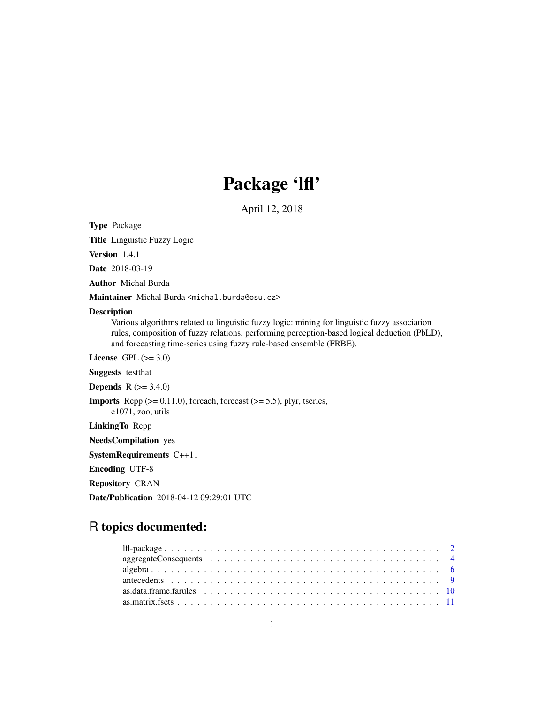# Package 'lfl'

April 12, 2018

<span id="page-0-0"></span>Type Package

Title Linguistic Fuzzy Logic

Version 1.4.1

Date 2018-03-19

Author Michal Burda

Maintainer Michal Burda <michal.burda@osu.cz>

# Description

Various algorithms related to linguistic fuzzy logic: mining for linguistic fuzzy association rules, composition of fuzzy relations, performing perception-based logical deduction (PbLD), and forecasting time-series using fuzzy rule-based ensemble (FRBE).

License GPL  $(>= 3.0)$ 

Suggests testthat

**Depends** R  $(>= 3.4.0)$ 

**Imports** Rcpp  $(>= 0.11.0)$ , foreach, forecast  $(>= 5.5)$ , plyr, tseries,

e1071, zoo, utils

LinkingTo Rcpp

NeedsCompilation yes

SystemRequirements C++11

Encoding UTF-8

Repository CRAN

Date/Publication 2018-04-12 09:29:01 UTC

# R topics documented: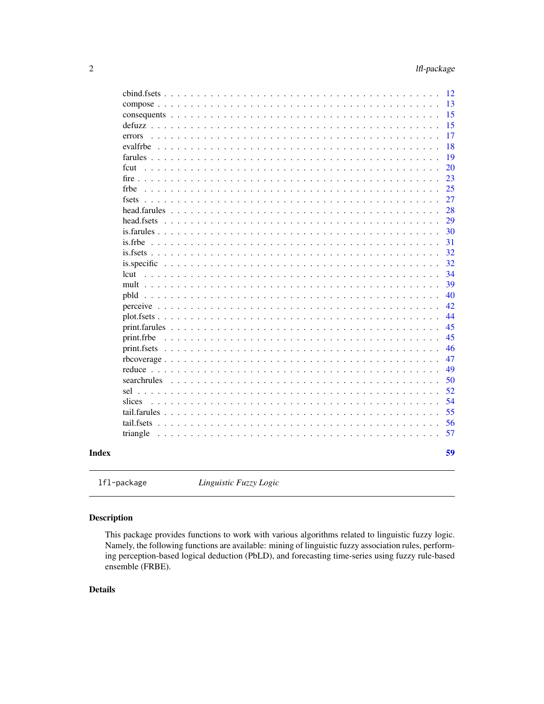<span id="page-1-0"></span>

| Index |                                                                                                   | 59 |
|-------|---------------------------------------------------------------------------------------------------|----|
|       | triangle                                                                                          | 57 |
|       |                                                                                                   | 56 |
|       | tail.farules $\ldots$                                                                             | 55 |
|       | slices<br>$\cdot$                                                                                 | 54 |
|       | sel $\ldots$                                                                                      | 52 |
|       | searchrules                                                                                       | 50 |
|       | $reduce \dots \dots$                                                                              | 49 |
|       | rbcoverage                                                                                        | 47 |
|       | $print.fsets$<br>.<br>$\sim$ $\sim$ $\sim$                                                        | 46 |
|       | print.frbe<br>and a straight and<br>.                                                             | 45 |
|       | print.farules<br>.                                                                                | 45 |
|       | plot.fsets<br>.<br>$\sim$<br>$\ddot{\phantom{a}}$<br>$\ddot{\phantom{a}}$                         | 44 |
|       | $perceive \dots \dots$<br>.<br>$\mathbf{1}$ $\mathbf{1}$ $\mathbf{1}$<br>$\ddot{\phantom{a}}$     | 42 |
|       | $pbld$<br>$\ddot{\phantom{a}}$                                                                    | 40 |
|       | mult $\ldots$                                                                                     | 39 |
|       | lcut                                                                                              | 34 |
|       |                                                                                                   | 32 |
|       | $is.fsets \ldots$ .                                                                               | 32 |
|       | is.frbe                                                                                           | 31 |
|       | is farules $\ldots$ .                                                                             | 30 |
|       | head.fsets                                                                                        | 29 |
|       | head.farules<br>$\overline{a}$                                                                    | 28 |
|       | fsets                                                                                             | 27 |
|       | frbe<br>$\ddot{\phantom{a}}$                                                                      | 25 |
|       | fire $\ldots$ .                                                                                   | 23 |
|       | fcut<br>$\mathbf{L}$ . The set of $\mathbf{L}$<br>$\ddot{\phantom{1}}$                            | 20 |
|       | farules<br>.                                                                                      | 19 |
|       | evalfrbe                                                                                          | 18 |
|       | .<br>errors                                                                                       | 17 |
|       | consequents $\ldots$<br>.<br>$\ddot{\phantom{1}}$<br>$\ddot{\phantom{a}}$<br>$defuzz \dots \dots$ | 15 |
|       | $compress \dots \dots$<br>.<br>$\mathbf{r}$                                                       | 15 |
|       |                                                                                                   | 13 |
|       |                                                                                                   | 12 |

lfl-package *Linguistic Fuzzy Logic*

# Description

This package provides functions to work with various algorithms related to linguistic fuzzy logic. Namely, the following functions are available: mining of linguistic fuzzy association rules, performing perception-based logical deduction (PbLD), and forecasting time-series using fuzzy rule-based ensemble (FRBE).

# Details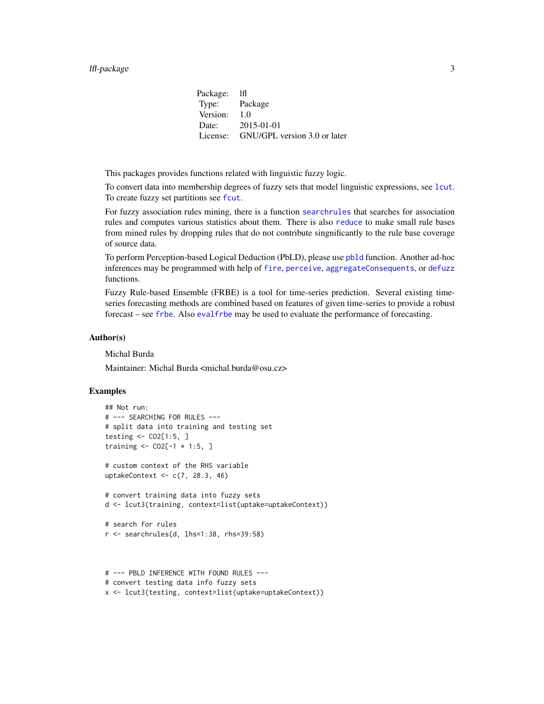#### <span id="page-2-0"></span>lfl-package 3

Package: lfl Type: Package Version: 1.0 Date: 2015-01-01 License: GNU/GPL version 3.0 or later

This packages provides functions related with linguistic fuzzy logic.

To convert data into membership degrees of fuzzy sets that model linguistic expressions, see [lcut](#page-33-1). To create fuzzy set partitions see [fcut](#page-19-1).

For fuzzy association rules mining, there is a function [searchrules](#page-49-1) that searches for association rules and computes various statistics about them. There is also [reduce](#page-48-1) to make small rule bases from mined rules by dropping rules that do not contribute singnificantly to the rule base coverage of source data.

To perform Perception-based Logical Deduction (PbLD), please use [pbld](#page-39-1) function. Another ad-hoc inferences may be programmed with help of [fire](#page-22-1), [perceive](#page-41-1), [aggregateConsequents](#page-3-1), or [defuzz](#page-14-1) functions.

Fuzzy Rule-based Ensemble (FRBE) is a tool for time-series prediction. Several existing timeseries forecasting methods are combined based on features of given time-series to provide a robust forecast – see [frbe](#page-24-1). Also [evalfrbe](#page-17-1) may be used to evaluate the performance of forecasting.

#### Author(s)

Michal Burda

Maintainer: Michal Burda <michal.burda@osu.cz>

```
## Not run:
# --- SEARCHING FOR RULES ---
# split data into training and testing set
testing <- CO2[1:5, ]
training \leq - CO2[-1 * 1:5, ]
# custom context of the RHS variable
uptakeContext <- c(7, 28.3, 46)
# convert training data into fuzzy sets
d <- lcut3(training, context=list(uptake=uptakeContext))
# search for rules
r <- searchrules(d, lhs=1:38, rhs=39:58)
```

```
# --- PBLD INFERENCE WITH FOUND RULES ---
# convert testing data info fuzzy sets
x <- lcut3(testing, context=list(uptake=uptakeContext))
```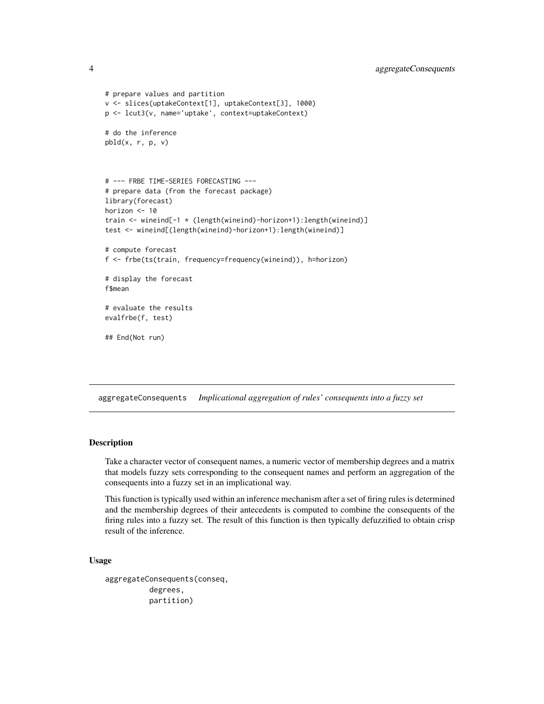```
# prepare values and partition
v <- slices(uptakeContext[1], uptakeContext[3], 1000)
p <- lcut3(v, name='uptake', context=uptakeContext)
# do the inference
pbld(x, r, p, v)
# --- FRBE TIME-SERIES FORECASTING ---
# prepare data (from the forecast package)
library(forecast)
horizon <- 10
train <- wineind[-1 * (length(wineind)-horizon+1):length(wineind)]
test <- wineind[(length(wineind)-horizon+1):length(wineind)]
# compute forecast
f <- frbe(ts(train, frequency=frequency(wineind)), h=horizon)
# display the forecast
f$mean
# evaluate the results
evalfrbe(f, test)
## End(Not run)
```
<span id="page-3-1"></span>aggregateConsequents *Implicational aggregation of rules' consequents into a fuzzy set*

#### Description

Take a character vector of consequent names, a numeric vector of membership degrees and a matrix that models fuzzy sets corresponding to the consequent names and perform an aggregation of the consequents into a fuzzy set in an implicational way.

This function is typically used within an inference mechanism after a set of firing rules is determined and the membership degrees of their antecedents is computed to combine the consequents of the firing rules into a fuzzy set. The result of this function is then typically defuzzified to obtain crisp result of the inference.

#### Usage

```
aggregateConsequents(conseq,
          degrees,
          partition)
```
<span id="page-3-0"></span>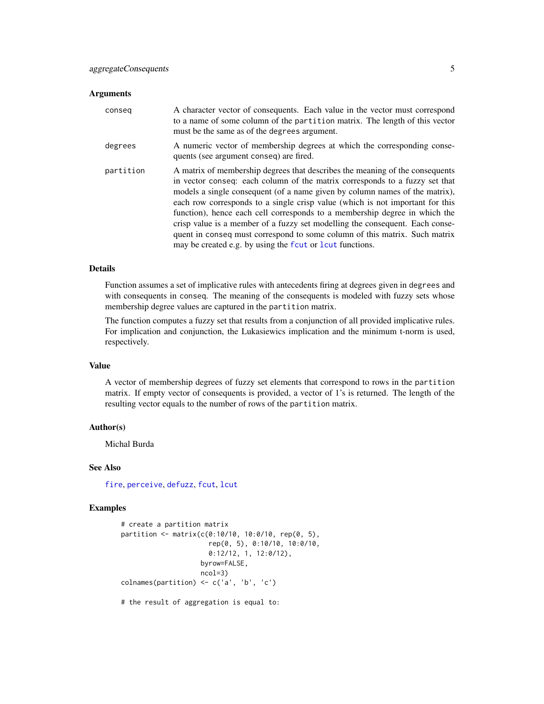#### <span id="page-4-0"></span>**Arguments**

| conseq    | A character vector of consequents. Each value in the vector must correspond<br>to a name of some column of the partition matrix. The length of this vector<br>must be the same as of the degrees argument.                                                                                                                                                                                                                                                                                                                                                                                                                          |
|-----------|-------------------------------------------------------------------------------------------------------------------------------------------------------------------------------------------------------------------------------------------------------------------------------------------------------------------------------------------------------------------------------------------------------------------------------------------------------------------------------------------------------------------------------------------------------------------------------------------------------------------------------------|
| degrees   | A numeric vector of membership degrees at which the corresponding conse-<br>quents (see argument conseq) are fired.                                                                                                                                                                                                                                                                                                                                                                                                                                                                                                                 |
| partition | A matrix of membership degrees that describes the meaning of the consequents<br>in vector conseq: each column of the matrix corresponds to a fuzzy set that<br>models a single consequent (of a name given by column names of the matrix),<br>each row corresponds to a single crisp value (which is not important for this<br>function), hence each cell corresponds to a membership degree in which the<br>crisp value is a member of a fuzzy set modelling the consequent. Each conse-<br>quent in conseq must correspond to some column of this matrix. Such matrix<br>may be created e.g. by using the four or lout functions. |

# Details

Function assumes a set of implicative rules with antecedents firing at degrees given in degrees and with consequents in conseq. The meaning of the consequents is modeled with fuzzy sets whose membership degree values are captured in the partition matrix.

The function computes a fuzzy set that results from a conjunction of all provided implicative rules. For implication and conjunction, the Lukasiewics implication and the minimum t-norm is used, respectively.

#### Value

A vector of membership degrees of fuzzy set elements that correspond to rows in the partition matrix. If empty vector of consequents is provided, a vector of 1's is returned. The length of the resulting vector equals to the number of rows of the partition matrix.

#### Author(s)

Michal Burda

# See Also

[fire](#page-22-1), [perceive](#page-41-1), [defuzz](#page-14-1), [fcut](#page-19-1), [lcut](#page-33-1)

#### Examples

```
# create a partition matrix
partition <- matrix(c(0:10/10, 10:0/10, rep(0, 5),
                      rep(0, 5), 0:10/10, 10:0/10,
                      0:12/12, 1, 12:0/12),
                    byrow=FALSE,
                    ncol=3)
colnames(partition) <- c('a', 'b', 'c')
```
# the result of aggregation is equal to: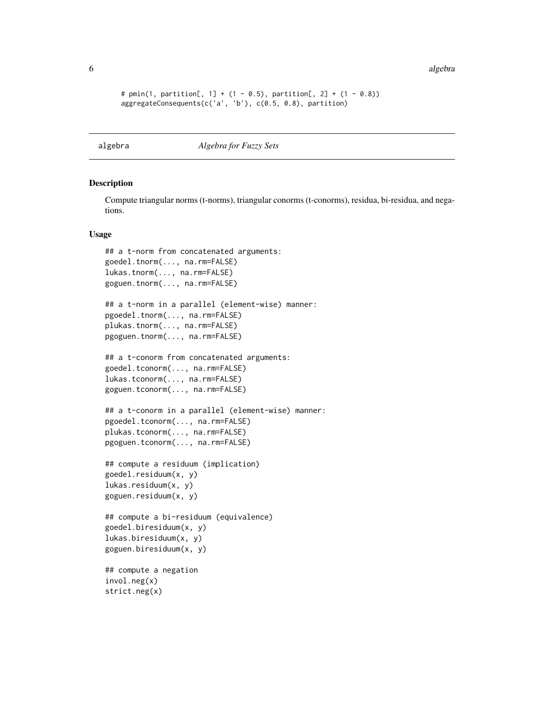6 algebra 2008 algebra 2008 algebra 2008 algebra 2008 algebra 2008 algebra 2008 algebra 2008 algebra 2008 algebra 2008 algebra 2008 algebra 2008 algebra 2008 algebra 2008 algebra 2008 algebra 2008 algebra 2008 algebra 2008

```
# pmin(1, partition[, 1] + (1 - 0.5), partition[, 2] + (1 - 0.8)aggregateConsequents(c('a', 'b'), c(0.5, 0.8), partition)
```
<span id="page-5-1"></span>algebra *Algebra for Fuzzy Sets*

#### Description

Compute triangular norms (t-norms), triangular conorms (t-conorms), residua, bi-residua, and negations.

#### Usage

```
## a t-norm from concatenated arguments:
goedel.tnorm(..., na.rm=FALSE)
lukas.tnorm(..., na.rm=FALSE)
goguen.tnorm(..., na.rm=FALSE)
## a t-norm in a parallel (element-wise) manner:
pgoedel.tnorm(..., na.rm=FALSE)
plukas.tnorm(..., na.rm=FALSE)
pgoguen.tnorm(..., na.rm=FALSE)
## a t-conorm from concatenated arguments:
goedel.tconorm(..., na.rm=FALSE)
lukas.tconorm(..., na.rm=FALSE)
goguen.tconorm(..., na.rm=FALSE)
## a t-conorm in a parallel (element-wise) manner:
pgoedel.tconorm(..., na.rm=FALSE)
plukas.tconorm(..., na.rm=FALSE)
pgoguen.tconorm(..., na.rm=FALSE)
## compute a residuum (implication)
goedel.residuum(x, y)
lukas.residuum(x, y)
goguen.residuum(x, y)
## compute a bi-residuum (equivalence)
goedel.biresiduum(x, y)
lukas.biresiduum(x, y)
goguen.biresiduum(x, y)
## compute a negation
invol.neg(x)
strict.neg(x)
```
<span id="page-5-0"></span>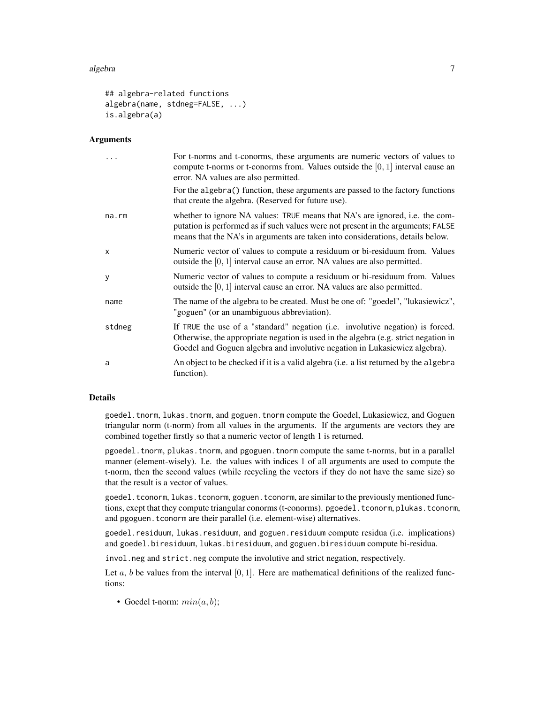#### algebra 700 km in the set of the set of the set of the set of the set of the set of the set of the set of the set of the set of the set of the set of the set of the set of the set of the set of the set of the set of the se

```
## algebra-related functions
algebra(name, stdneg=FALSE, ...)
is.algebra(a)
```
#### **Arguments**

|              | For t-norms and t-conorms, these arguments are numeric vectors of values to<br>compute t-norms or t-conorms from. Values outside the $[0, 1]$ interval cause an<br>error. NA values are also permitted.                                             |
|--------------|-----------------------------------------------------------------------------------------------------------------------------------------------------------------------------------------------------------------------------------------------------|
|              | For the algebra() function, these arguments are passed to the factory functions<br>that create the algebra. (Reserved for future use).                                                                                                              |
| $na$ . $rm$  | whether to ignore NA values: TRUE means that NA's are ignored, i.e. the com-<br>putation is performed as if such values were not present in the arguments; FALSE<br>means that the NA's in arguments are taken into considerations, details below.  |
| $\mathsf{x}$ | Numeric vector of values to compute a residuum or bi-residuum from. Values<br>outside the $[0, 1]$ interval cause an error. NA values are also permitted.                                                                                           |
| y            | Numeric vector of values to compute a residuum or bi-residuum from. Values<br>outside the $[0, 1]$ interval cause an error. NA values are also permitted.                                                                                           |
| name         | The name of the algebra to be created. Must be one of: "goedel", "lukasiewicz",<br>"goguen" (or an unambiguous abbreviation).                                                                                                                       |
| stdneg       | If TRUE the use of a "standard" negation (i.e. involutive negation) is forced.<br>Otherwise, the appropriate negation is used in the algebra (e.g. strict negation in<br>Goedel and Goguen algebra and involutive negation in Lukasiewicz algebra). |
| a            | An object to be checked if it is a valid algebra (i.e. a list returned by the algebra<br>function).                                                                                                                                                 |

# Details

goedel.tnorm, lukas.tnorm, and goguen.tnorm compute the Goedel, Lukasiewicz, and Goguen triangular norm (t-norm) from all values in the arguments. If the arguments are vectors they are combined together firstly so that a numeric vector of length 1 is returned.

pgoedel.tnorm, plukas.tnorm, and pgoguen.tnorm compute the same t-norms, but in a parallel manner (element-wisely). I.e. the values with indices 1 of all arguments are used to compute the t-norm, then the second values (while recycling the vectors if they do not have the same size) so that the result is a vector of values.

goedel.tconorm, lukas.tconorm, goguen.tconorm, are similar to the previously mentioned functions, exept that they compute triangular conorms (t-conorms). pgoedel.tconorm, plukas.tconorm, and pgoguen.tconorm are their parallel (i.e. element-wise) alternatives.

goedel.residuum, lukas.residuum, and goguen.residuum compute residua (i.e. implications) and goedel.biresiduum, lukas.biresiduum, and goguen.biresiduum compute bi-residua.

invol.neg and strict.neg compute the involutive and strict negation, respectively.

Let a, b be values from the interval  $[0, 1]$ . Here are mathematical definitions of the realized functions:

• Goedel t-norm:  $min(a, b)$ ;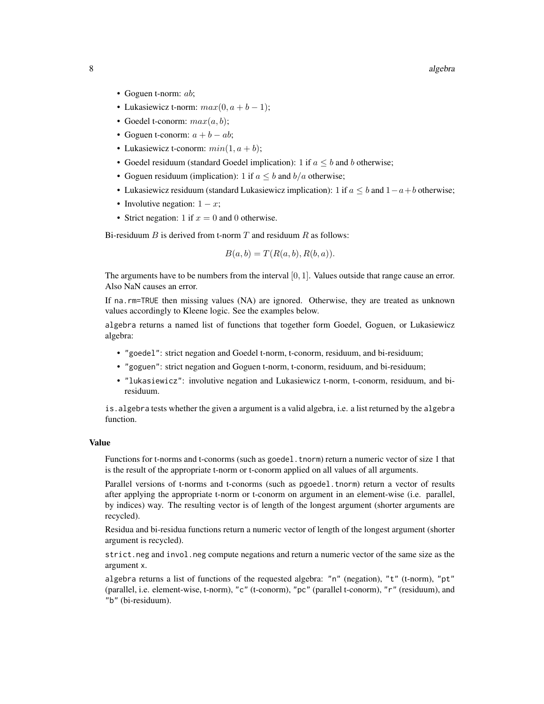- Goguen t-norm: *ab*;
- Lukasiewicz t-norm:  $max(0, a + b 1);$
- Goedel t-conorm:  $max(a, b)$ ;
- Goguen t-conorm:  $a + b ab$ ;
- Lukasiewicz t-conorm:  $min(1, a + b)$ ;
- Goedel residuum (standard Goedel implication): 1 if  $a \leq b$  and b otherwise;
- Goguen residuum (implication): 1 if  $a \leq b$  and  $b/a$  otherwise;
- Lukasiewicz residuum (standard Lukasiewicz implication): 1 if  $a \leq b$  and  $1-a+b$  otherwise;
- Involutive negation:  $1 x$ ;
- Strict negation: 1 if  $x = 0$  and 0 otherwise.

Bi-residuum  $B$  is derived from t-norm  $T$  and residuum  $R$  as follows:

$$
B(a, b) = T(R(a, b), R(b, a)).
$$

The arguments have to be numbers from the interval  $[0, 1]$ . Values outside that range cause an error. Also NaN causes an error.

If na.rm=TRUE then missing values (NA) are ignored. Otherwise, they are treated as unknown values accordingly to Kleene logic. See the examples below.

algebra returns a named list of functions that together form Goedel, Goguen, or Lukasiewicz algebra:

- "goedel": strict negation and Goedel t-norm, t-conorm, residuum, and bi-residuum;
- "goguen": strict negation and Goguen t-norm, t-conorm, residuum, and bi-residuum;
- "lukasiewicz": involutive negation and Lukasiewicz t-norm, t-conorm, residuum, and biresiduum.

is.algebra tests whether the given a argument is a valid algebra, i.e. a list returned by the algebra function.

#### Value

Functions for t-norms and t-conorms (such as goedel.tnorm) return a numeric vector of size 1 that is the result of the appropriate t-norm or t-conorm applied on all values of all arguments.

Parallel versions of t-norms and t-conorms (such as pgoedel.tnorm) return a vector of results after applying the appropriate t-norm or t-conorm on argument in an element-wise (i.e. parallel, by indices) way. The resulting vector is of length of the longest argument (shorter arguments are recycled).

Residua and bi-residua functions return a numeric vector of length of the longest argument (shorter argument is recycled).

strict.neg and invol.neg compute negations and return a numeric vector of the same size as the argument x.

algebra returns a list of functions of the requested algebra: "n" (negation), "t" (t-norm), "pt" (parallel, i.e. element-wise, t-norm), "c" (t-conorm), "pc" (parallel t-conorm), "r" (residuum), and "b" (bi-residuum).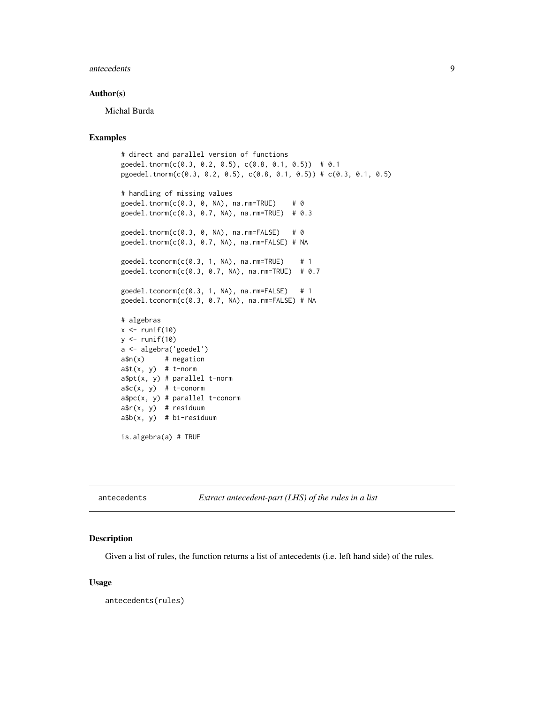#### <span id="page-8-0"></span>antecedents and  $\overline{9}$

#### Author(s)

Michal Burda

#### Examples

```
# direct and parallel version of functions
goedel.tnorm(c(0.3, 0.2, 0.5), c(0.8, 0.1, 0.5)) # 0.1
pgoedel.tnorm(c(0.3, 0.2, 0.5), c(0.8, 0.1, 0.5)) # c(0.3, 0.1, 0.5)
# handling of missing values
gedel.tnorm(c(0.3, 0, NA), na.rm=TRUE) # 0
goedel.tnorm(c(0.3, 0.7, NA), na.rm=TRUE) # 0.3
goedel.tnorm(c(0.3, 0, NA), na.rm=FALSE) # 0
goedel.tnorm(c(0.3, 0.7, NA), na.rm=FALSE) # NA
gedel.tconorm(c(0.3, 1, NA), na.rm=TRUE) # 1
goedel.tconorm(c(0.3, 0.7, NA), na.rm=TRUE) # 0.7
gedel.tconorm(c(0.3, 1, NA), na.rm=FALSE) # 1
goedel.tconorm(c(0.3, 0.7, NA), na.rm=FALSE) # NA
# algebras
x \leftarrow runif(10)y \leftarrow runif(10)a <- algebra('goedel')
a\n(x) # negation
a$t(x, y) # t-norm
a$pt(x, y) # parallel t-norma$c(x, y) # t-conorm
a$pc(x, y) # parallel t-conorm
a$r(x, y) # residuum
a$b(x, y) # bi-residuum
```
is.algebra(a) # TRUE

antecedents *Extract antecedent-part (LHS) of the rules in a list*

#### Description

Given a list of rules, the function returns a list of antecedents (i.e. left hand side) of the rules.

#### Usage

antecedents(rules)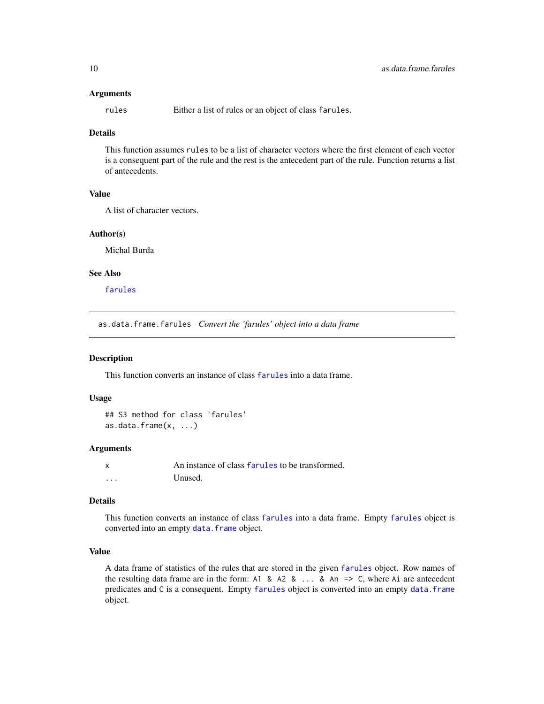#### <span id="page-9-0"></span>Arguments

rules Either a list of rules or an object of class farules.

# Details

This function assumes rules to be a list of character vectors where the first element of each vector is a consequent part of the rule and the rest is the antecedent part of the rule. Function returns a list of antecedents.

# Value

A list of character vectors.

# Author(s)

Michal Burda

#### See Also

[farules](#page-18-1)

as.data.frame.farules *Convert the 'farules' object into a data frame*

#### Description

This function converts an instance of class [farules](#page-18-1) into a data frame.

#### Usage

```
## S3 method for class 'farules'
as.data.frame(x, ...)
```
#### Arguments

|          | An instance of class farules to be transformed. |
|----------|-------------------------------------------------|
| $\cdots$ | Unused.                                         |

# Details

This function converts an instance of class [farules](#page-18-1) into a data frame. Empty [farules](#page-18-1) object is converted into an empty data. frame object.

#### Value

A data frame of statistics of the rules that are stored in the given [farules](#page-18-1) object. Row names of the resulting data frame are in the form: A1 & A2 &  $\ldots$  & An => C, where Ai are antecedent predicates and C is a consequent. Empty [farules](#page-18-1) object is converted into an empty [data.frame](#page-0-0) object.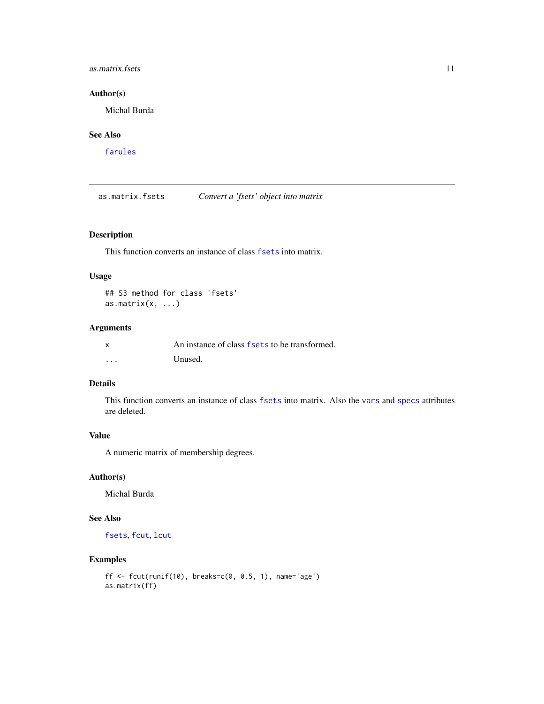#### <span id="page-10-0"></span>as. matrix. fsets 11

# Author(s)

Michal Burda

# See Also

[farules](#page-18-1)

as.matrix.fsets *Convert a 'fsets' object into matrix*

# Description

This function converts an instance of class [fsets](#page-26-1) into matrix.

# Usage

## S3 method for class 'fsets' as.matrix $(x, \ldots)$ 

# Arguments

|          | An instance of class fsets to be transformed. |
|----------|-----------------------------------------------|
| $\cdots$ | Unused.                                       |

# Details

This function converts an instance of class [fsets](#page-26-1) into matrix. Also the [vars](#page-26-2) and [specs](#page-26-2) attributes are deleted.

# Value

A numeric matrix of membership degrees.

### Author(s)

Michal Burda

# See Also

[fsets](#page-26-1), [fcut](#page-19-1), [lcut](#page-33-1)

```
ff \le fcut(runif(10), breaks=c(0, 0.5, 1), name='age')
as.matrix(ff)
```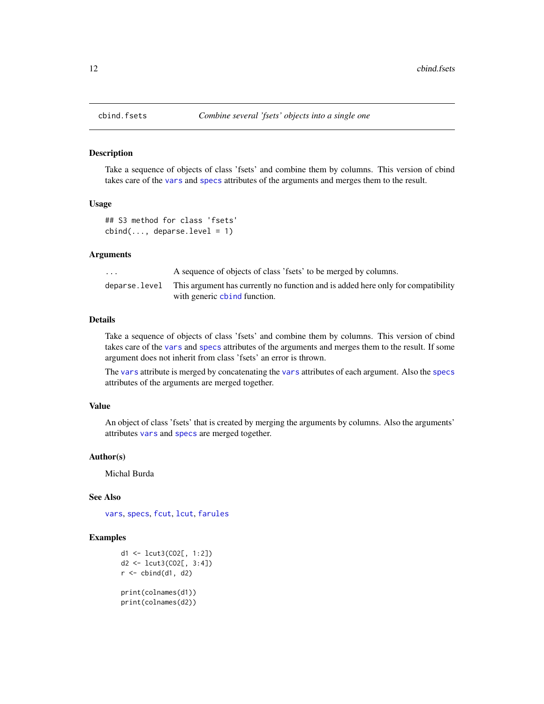Take a sequence of objects of class 'fsets' and combine them by columns. This version of cbind takes care of the [vars](#page-26-2) and [specs](#page-26-2) attributes of the arguments and merges them to the result.

#### Usage

```
## S3 method for class 'fsets'
cbind(..., deparse.level = 1)
```
# Arguments

| $\cdots$ | A sequence of objects of class 'fsets' to be merged by columns.                                 |
|----------|-------------------------------------------------------------------------------------------------|
|          | deparse, level This argument has currently no function and is added here only for compatibility |
|          | with generic chind function.                                                                    |

#### Details

Take a sequence of objects of class 'fsets' and combine them by columns. This version of cbind takes care of the [vars](#page-26-2) and [specs](#page-26-2) attributes of the arguments and merges them to the result. If some argument does not inherit from class 'fsets' an error is thrown.

The [vars](#page-26-2) attribute is merged by concatenating the [vars](#page-26-2) attributes of each argument. Also the [specs](#page-26-2) attributes of the arguments are merged together.

#### Value

An object of class 'fsets' that is created by merging the arguments by columns. Also the arguments' attributes [vars](#page-26-2) and [specs](#page-26-2) are merged together.

#### Author(s)

Michal Burda

#### See Also

[vars](#page-26-2), [specs](#page-26-2), [fcut](#page-19-1), [lcut](#page-33-1), [farules](#page-18-1)

```
d1 <- lcut3(CO2[, 1:2])
d2 <- lcut3(CO2[, 3:4])
r < - cbind(d1, d2)
print(colnames(d1))
print(colnames(d2))
```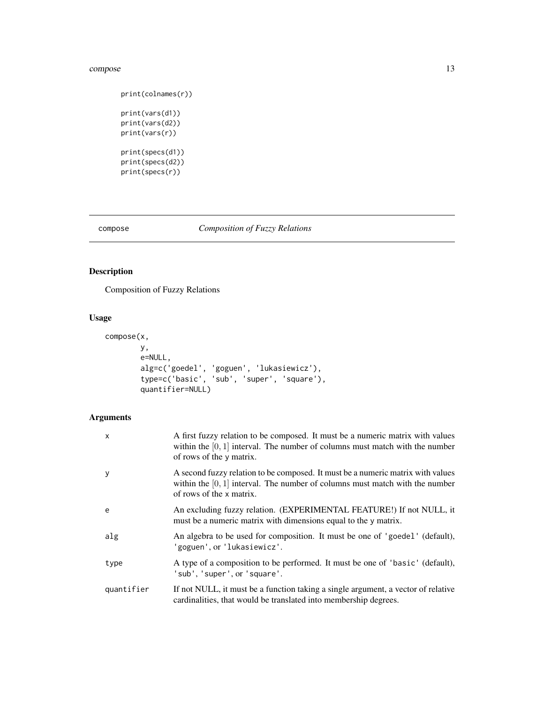#### <span id="page-12-0"></span>compose that the compose that the compose that the compose that the compose that the compose that  $13$

```
print(colnames(r))
print(vars(d1))
print(vars(d2))
print(vars(r))
print(specs(d1))
print(specs(d2))
print(specs(r))
```
# <span id="page-12-1"></span>compose *Composition of Fuzzy Relations*

# Description

Composition of Fuzzy Relations

# Usage

```
compose(x,
        y,
        e=NULL,
        alg=c('goedel', 'goguen', 'lukasiewicz'),
        type=c('basic', 'sub', 'super', 'square'),
        quantifier=NULL)
```
# Arguments

| $\mathsf{x}$ | A first fuzzy relation to be composed. It must be a numeric matrix with values<br>within the $[0, 1]$ interval. The number of columns must match with the number<br>of rows of the y matrix.  |
|--------------|-----------------------------------------------------------------------------------------------------------------------------------------------------------------------------------------------|
| y            | A second fuzzy relation to be composed. It must be a numeric matrix with values<br>within the $[0, 1]$ interval. The number of columns must match with the number<br>of rows of the x matrix. |
| e            | An excluding fuzzy relation. (EXPERIMENTAL FEATURE!) If not NULL, it<br>must be a numeric matrix with dimensions equal to the y matrix.                                                       |
| alg          | An algebra to be used for composition. It must be one of 'goedel' (default),<br>'goguen', or 'lukasiewicz'.                                                                                   |
| type         | A type of a composition to be performed. It must be one of 'basic' (default),<br>'sub', 'super', or 'square'.                                                                                 |
| quantifier   | If not NULL, it must be a function taking a single argument, a vector of relative<br>cardinalities, that would be translated into membership degrees.                                         |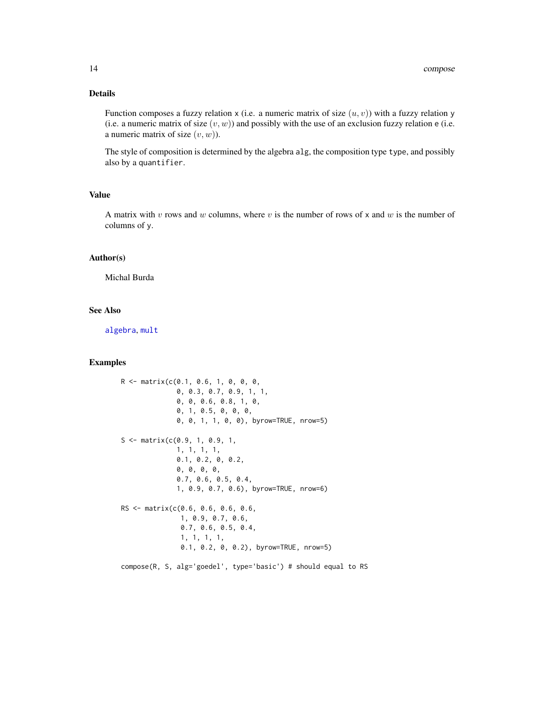# <span id="page-13-0"></span>Details

Function composes a fuzzy relation x (i.e. a numeric matrix of size  $(u, v)$ ) with a fuzzy relation y (i.e. a numeric matrix of size  $(v, w)$ ) and possibly with the use of an exclusion fuzzy relation e (i.e. a numeric matrix of size  $(v, w)$ ).

The style of composition is determined by the algebra alg, the composition type type, and possibly also by a quantifier.

#### Value

A matrix with v rows and w columns, where v is the number of rows of x and w is the number of columns of y.

#### Author(s)

Michal Burda

#### See Also

[algebra](#page-5-1), [mult](#page-38-1)

# Examples

```
R <- matrix(c(0.1, 0.6, 1, 0, 0, 0,
              0, 0.3, 0.7, 0.9, 1, 1,
              0, 0, 0.6, 0.8, 1, 0,
              0, 1, 0.5, 0, 0, 0,
              0, 0, 1, 1, 0, 0), byrow=TRUE, nrow=5)
S \leq - matrix(c(0.9, 1, 0.9, 1,
              1, 1, 1, 1,
              0.1, 0.2, 0, 0.2,
              0, 0, 0, 0,
              0.7, 0.6, 0.5, 0.4,
              1, 0.9, 0.7, 0.6), byrow=TRUE, nrow=6)
RS <- matrix(c(0.6, 0.6, 0.6, 0.6,
               1, 0.9, 0.7, 0.6,
               0.7, 0.6, 0.5, 0.4,
               1, 1, 1, 1,
               0.1, 0.2, 0, 0.2), byrow=TRUE, nrow=5)
```
compose(R, S, alg='goedel', type='basic') # should equal to RS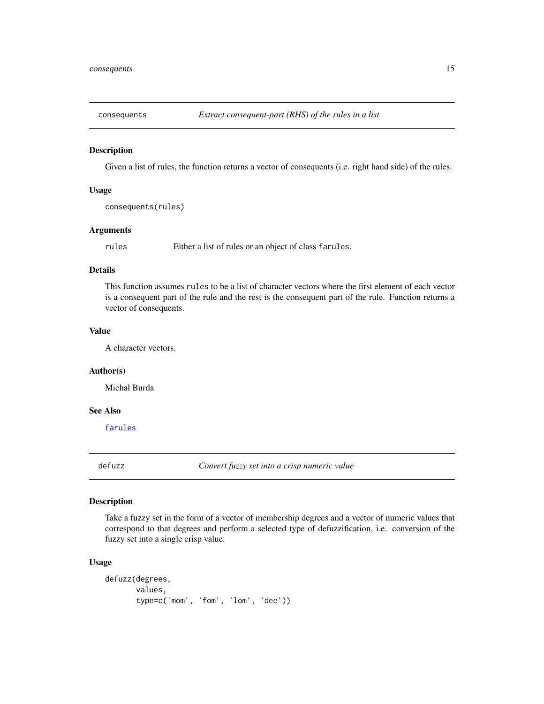<span id="page-14-0"></span>

Given a list of rules, the function returns a vector of consequents (i.e. right hand side) of the rules.

# Usage

consequents(rules)

# Arguments

rules Either a list of rules or an object of class farules.

# Details

This function assumes rules to be a list of character vectors where the first element of each vector is a consequent part of the rule and the rest is the consequent part of the rule. Function returns a vector of consequents.

#### Value

A character vectors.

# Author(s)

Michal Burda

### See Also

[farules](#page-18-1)

<span id="page-14-1"></span>defuzz *Convert fuzzy set into a crisp numeric value*

#### Description

Take a fuzzy set in the form of a vector of membership degrees and a vector of numeric values that correspond to that degrees and perform a selected type of defuzzification, i.e. conversion of the fuzzy set into a single crisp value.

#### Usage

```
defuzz(degrees,
       values,
       type=c('mom', 'fom', 'lom', 'dee'))
```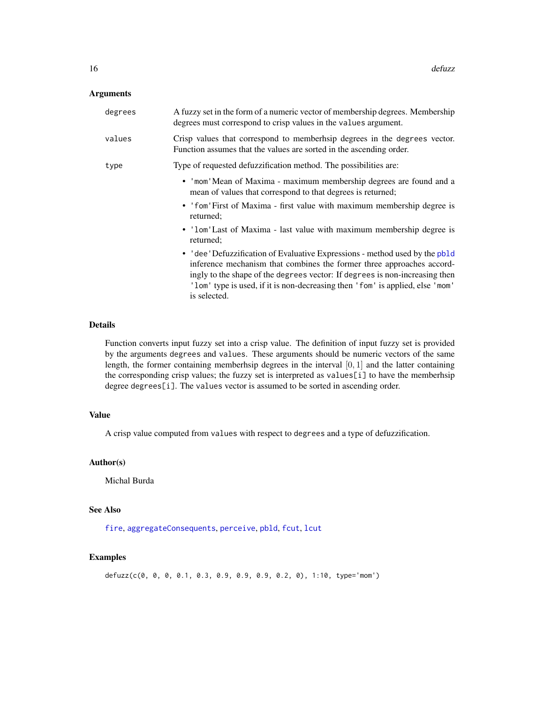#### <span id="page-15-0"></span>Arguments

| degrees | A fuzzy set in the form of a numeric vector of membership degrees. Membership<br>degrees must correspond to crisp values in the values argument.                                                                                                                                                                                     |
|---------|--------------------------------------------------------------------------------------------------------------------------------------------------------------------------------------------------------------------------------------------------------------------------------------------------------------------------------------|
| values  | Crisp values that correspond to memberhaip degrees in the degrees vector.<br>Function assumes that the values are sorted in the ascending order.                                                                                                                                                                                     |
| type    | Type of requested defuzzification method. The possibilities are:                                                                                                                                                                                                                                                                     |
|         | • 'mom' Mean of Maxima - maximum membership degrees are found and a<br>mean of values that correspond to that degrees is returned;                                                                                                                                                                                                   |
|         | • 'fom'First of Maxima - first value with maximum membership degree is<br>returned;                                                                                                                                                                                                                                                  |
|         | • 'lom'Last of Maxima - last value with maximum membership degree is<br>returned;                                                                                                                                                                                                                                                    |
|         | • 'dee' Defuzzification of Evaluative Expressions - method used by the pb1d<br>inference mechanism that combines the former three approaches accord-<br>ingly to the shape of the degrees vector: If degrees is non-increasing then<br>'lom' type is used, if it is non-decreasing then 'fom' is applied, else 'mom'<br>is selected. |

# Details

Function converts input fuzzy set into a crisp value. The definition of input fuzzy set is provided by the arguments degrees and values. These arguments should be numeric vectors of the same length, the former containing memberhsip degrees in the interval [0, 1] and the latter containing the corresponding crisp values; the fuzzy set is interpreted as values[i] to have the memberhsip degree degrees[i]. The values vector is assumed to be sorted in ascending order.

# Value

A crisp value computed from values with respect to degrees and a type of defuzzification.

#### Author(s)

Michal Burda

# See Also

[fire](#page-22-1), [aggregateConsequents](#page-3-1), [perceive](#page-41-1), [pbld](#page-39-1), [fcut](#page-19-1), [lcut](#page-33-1)

```
defuzz(c(0, 0, 0, 0.1, 0.3, 0.9, 0.9, 0.9, 0.2, 0), 1:10, type='mom')
```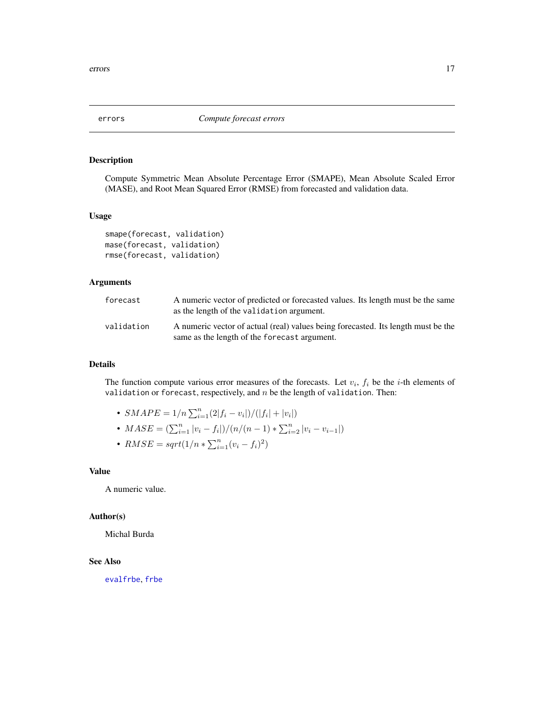<span id="page-16-1"></span><span id="page-16-0"></span>

Compute Symmetric Mean Absolute Percentage Error (SMAPE), Mean Absolute Scaled Error (MASE), and Root Mean Squared Error (RMSE) from forecasted and validation data.

# Usage

```
smape(forecast, validation)
mase(forecast, validation)
rmse(forecast, validation)
```
#### Arguments

| forecast   | A numeric vector of predicted or forecasted values. Its length must be the same<br>as the length of the validation argument.      |
|------------|-----------------------------------------------------------------------------------------------------------------------------------|
| validation | A numeric vector of actual (real) values being forecasted. Its length must be the<br>same as the length of the forecast argument. |

#### Details

The function compute various error measures of the forecasts. Let  $v_i$ ,  $f_i$  be the *i*-th elements of validation or forecast, respectively, and  $n$  be the length of validation. Then:

- $SMAPE = 1/n \sum_{i=1}^{n} (2|f_i v_i|)/(|f_i| + |v_i|)$
- $MASE = (\sum_{i=1}^{n} |v_i f_i|) / (n/(n-1) * \sum_{i=2}^{n} |v_i v_{i-1}|)$
- $RMSE = sqrt(1/n * \sum_{i=1}^{n} (v_i f_i)^2)$

#### Value

A numeric value.

#### Author(s)

Michal Burda

#### See Also

[evalfrbe](#page-17-1), [frbe](#page-24-1)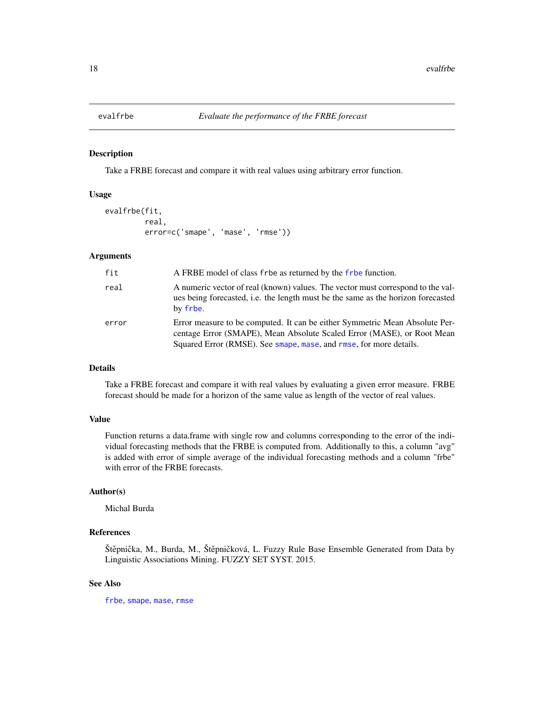<span id="page-17-1"></span><span id="page-17-0"></span>

Take a FRBE forecast and compare it with real values using arbitrary error function.

#### Usage

```
evalfrbe(fit,
         real,
         error=c('smape', 'mase', 'rmse'))
```
# Arguments

| fit   | A FRBE model of class frbe as returned by the frbe function.                                                                                                                                                                |
|-------|-----------------------------------------------------------------------------------------------------------------------------------------------------------------------------------------------------------------------------|
| real  | A numeric vector of real (known) values. The vector must correspond to the val-<br>ues being forecasted, i.e. the length must be the same as the horizon forecasted<br>by frbe.                                             |
| error | Error measure to be computed. It can be either Symmetric Mean Absolute Per-<br>centage Error (SMAPE), Mean Absolute Scaled Error (MASE), or Root Mean<br>Squared Error (RMSE). See smape, mase, and rmse, for more details. |

#### Details

Take a FRBE forecast and compare it with real values by evaluating a given error measure. FRBE forecast should be made for a horizon of the same value as length of the vector of real values.

#### Value

Function returns a data.frame with single row and columns corresponding to the error of the individual forecasting methods that the FRBE is computed from. Additionally to this, a column "avg" is added with error of simple average of the individual forecasting methods and a column "frbe" with error of the FRBE forecasts.

# Author(s)

Michal Burda

# References

Štěpnička, M., Burda, M., Štěpničková, L. Fuzzy Rule Base Ensemble Generated from Data by Linguistic Associations Mining. FUZZY SET SYST. 2015.

#### See Also

[frbe](#page-24-1), [smape](#page-16-1), [mase](#page-16-1), [rmse](#page-16-1)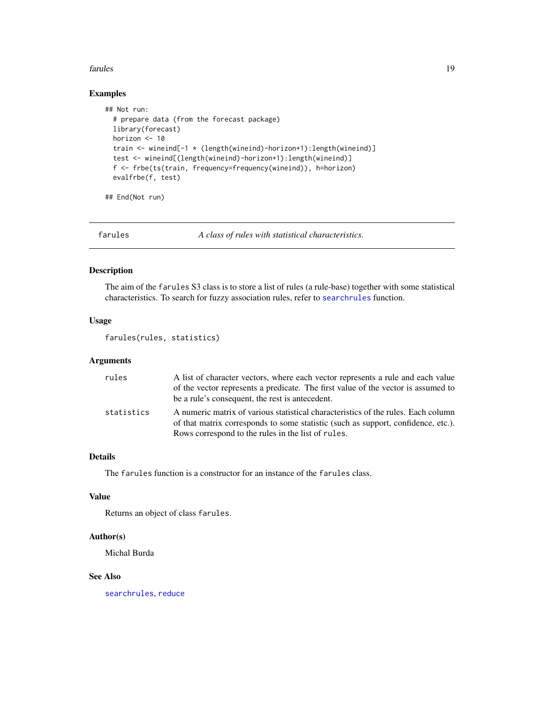#### <span id="page-18-0"></span>farules that the contract of the contract of the contract of the contract of the contract of the contract of the contract of the contract of the contract of the contract of the contract of the contract of the contract of t

# Examples

```
## Not run:
 # prepare data (from the forecast package)
 library(forecast)
 horizon <- 10
 train <- wineind[-1 * (length(wineind)-horizon+1):length(wineind)]
 test <- wineind[(length(wineind)-horizon+1):length(wineind)]
 f <- frbe(ts(train, frequency=frequency(wineind)), h=horizon)
 evalfrbe(f, test)
```
## End(Not run)

<span id="page-18-1"></span>farules *A class of rules with statistical characteristics.*

# Description

The aim of the farules S3 class is to store a list of rules (a rule-base) together with some statistical characteristics. To search for fuzzy association rules, refer to [searchrules](#page-49-1) function.

#### Usage

farules(rules, statistics)

# Arguments

| rules      | A list of character vectors, where each vector represents a rule and each value<br>of the vector represents a predicate. The first value of the vector is assumed to<br>be a rule's consequent, the rest is antecedent.      |
|------------|------------------------------------------------------------------------------------------------------------------------------------------------------------------------------------------------------------------------------|
| statistics | A numeric matrix of various statistical characteristics of the rules. Each column<br>of that matrix corresponds to some statistic (such as support, confidence, etc.).<br>Rows correspond to the rules in the list of rules. |

#### Details

The farules function is a constructor for an instance of the farules class.

# Value

Returns an object of class farules.

#### Author(s)

Michal Burda

### See Also

[searchrules](#page-49-1), [reduce](#page-48-1)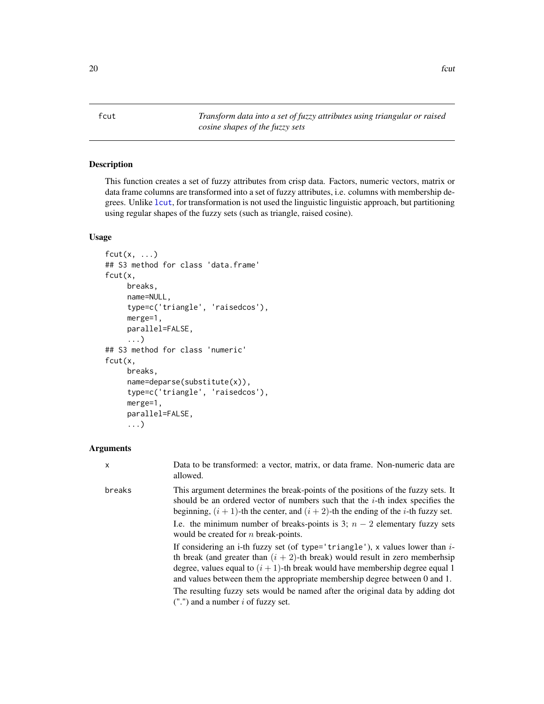<span id="page-19-1"></span><span id="page-19-0"></span>fcut *Transform data into a set of fuzzy attributes using triangular or raised cosine shapes of the fuzzy sets*

# Description

This function creates a set of fuzzy attributes from crisp data. Factors, numeric vectors, matrix or data frame columns are transformed into a set of fuzzy attributes, i.e. columns with membership degrees. Unlike [lcut](#page-33-1), for transformation is not used the linguistic linguistic approach, but partitioning using regular shapes of the fuzzy sets (such as triangle, raised cosine).

#### Usage

```
fcut(x, \ldots)## S3 method for class 'data.frame'
fcut(x,
     breaks,
     name=NULL,
     type=c('triangle', 'raisedcos'),
     merge=1,
     parallel=FALSE,
     ...)
## S3 method for class 'numeric'
fcut(x,
     breaks,
     name=deparse(substitute(x)),
     type=c('triangle', 'raisedcos'),
     merge=1,
     parallel=FALSE,
     ...)
```
#### Arguments

| $\mathsf{x}$ | Data to be transformed: a vector, matrix, or data frame. Non-numeric data are<br>allowed.                                                                                                                                                                                                                                             |
|--------------|---------------------------------------------------------------------------------------------------------------------------------------------------------------------------------------------------------------------------------------------------------------------------------------------------------------------------------------|
| breaks       | This argument determines the break-points of the positions of the fuzzy sets. It<br>should be an ordered vector of numbers such that the $i$ -th index specifies the<br>beginning, $(i + 1)$ -th the center, and $(i + 2)$ -th the ending of the <i>i</i> -th fuzzy set.                                                              |
|              | I.e. the minimum number of breaks-points is 3; $n-2$ elementary fuzzy sets<br>would be created for $n$ break-points.                                                                                                                                                                                                                  |
|              | If considering an i-th fuzzy set (of type='triangle'), x values lower than $i$ -<br>th break (and greater than $(i + 2)$ -th break) would result in zero memberhsip<br>degree, values equal to $(i + 1)$ -th break would have membership degree equal 1<br>and values between them the appropriate membership degree between 0 and 1. |
|              | The resulting fuzzy sets would be named after the original data by adding dot<br>$("")$ and a number i of fuzzy set.                                                                                                                                                                                                                  |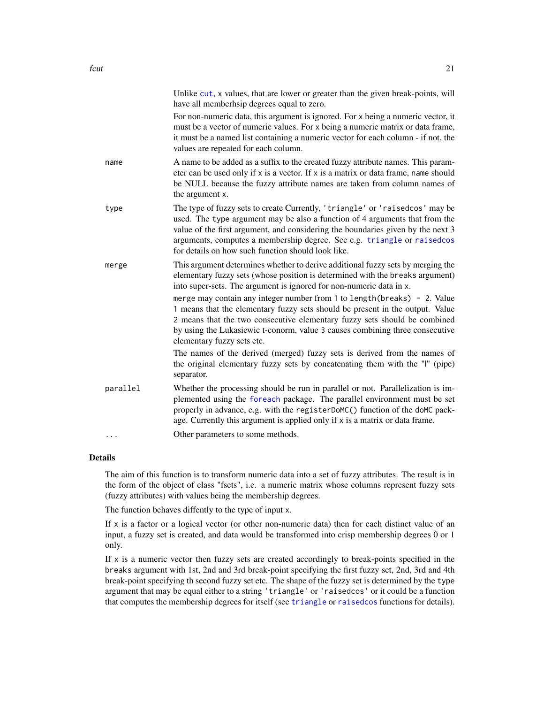<span id="page-20-0"></span>

|          | Unlike cut, x values, that are lower or greater than the given break-points, will<br>have all memberhsip degrees equal to zero.                                                                                                                                                                                                                                                                                                                                                                                                                                                                                                                                                                                                                                             |
|----------|-----------------------------------------------------------------------------------------------------------------------------------------------------------------------------------------------------------------------------------------------------------------------------------------------------------------------------------------------------------------------------------------------------------------------------------------------------------------------------------------------------------------------------------------------------------------------------------------------------------------------------------------------------------------------------------------------------------------------------------------------------------------------------|
|          | For non-numeric data, this argument is ignored. For x being a numeric vector, it<br>must be a vector of numeric values. For x being a numeric matrix or data frame,<br>it must be a named list containing a numeric vector for each column - if not, the<br>values are repeated for each column.                                                                                                                                                                                                                                                                                                                                                                                                                                                                            |
| name     | A name to be added as a suffix to the created fuzzy attribute names. This param-<br>eter can be used only if x is a vector. If x is a matrix or data frame, name should<br>be NULL because the fuzzy attribute names are taken from column names of<br>the argument x.                                                                                                                                                                                                                                                                                                                                                                                                                                                                                                      |
| type     | The type of fuzzy sets to create Currently, 'triangle' or 'raisedcos' may be<br>used. The type argument may be also a function of 4 arguments that from the<br>value of the first argument, and considering the boundaries given by the next 3<br>arguments, computes a membership degree. See e.g. triangle or raisedcos<br>for details on how such function should look like.                                                                                                                                                                                                                                                                                                                                                                                             |
| merge    | This argument determines whether to derive additional fuzzy sets by merging the<br>elementary fuzzy sets (whose position is determined with the breaks argument)<br>into super-sets. The argument is ignored for non-numeric data in x.<br>merge may contain any integer number from 1 to length (breaks) - 2. Value<br>1 means that the elementary fuzzy sets should be present in the output. Value<br>2 means that the two consecutive elementary fuzzy sets should be combined<br>by using the Lukasiewic t-conorm, value 3 causes combining three consecutive<br>elementary fuzzy sets etc.<br>The names of the derived (merged) fuzzy sets is derived from the names of<br>the original elementary fuzzy sets by concatenating them with the "I" (pipe)<br>separator. |
| parallel | Whether the processing should be run in parallel or not. Parallelization is im-<br>plemented using the foreach package. The parallel environment must be set<br>properly in advance, e.g. with the registerDoMC() function of the doMC pack-<br>age. Currently this argument is applied only if x is a matrix or data frame.                                                                                                                                                                                                                                                                                                                                                                                                                                                |
|          | Other parameters to some methods.                                                                                                                                                                                                                                                                                                                                                                                                                                                                                                                                                                                                                                                                                                                                           |

#### Details

The aim of this function is to transform numeric data into a set of fuzzy attributes. The result is in the form of the object of class "fsets", i.e. a numeric matrix whose columns represent fuzzy sets (fuzzy attributes) with values being the membership degrees.

The function behaves diffently to the type of input x.

If  $x$  is a factor or a logical vector (or other non-numeric data) then for each distinct value of an input, a fuzzy set is created, and data would be transformed into crisp membership degrees 0 or 1 only.

If  $x$  is a numeric vector then fuzzy sets are created accordingly to break-points specified in the breaks argument with 1st, 2nd and 3rd break-point specifying the first fuzzy set, 2nd, 3rd and 4th break-point specifying th second fuzzy set etc. The shape of the fuzzy set is determined by the type argument that may be equal either to a string 'triangle' or 'raisedcos' or it could be a function that computes the membership degrees for itself (see [triangle](#page-56-1) or [raisedcos](#page-56-2) functions for details).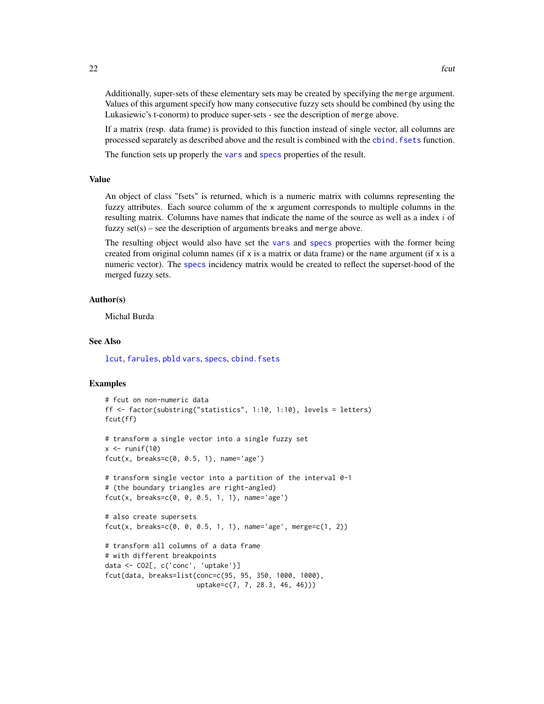<span id="page-21-0"></span>Additionally, super-sets of these elementary sets may be created by specifying the merge argument. Values of this argument specify how many consecutive fuzzy sets should be combined (by using the Lukasiewic's t-conorm) to produce super-sets - see the description of merge above.

If a matrix (resp. data frame) is provided to this function instead of single vector, all columns are processed separately as described above and the result is combined with the [cbind.fsets](#page-11-1) function.

The function sets up properly the [vars](#page-26-2) and [specs](#page-26-2) properties of the result.

# Value

An object of class "fsets" is returned, which is a numeric matrix with columns representing the fuzzy attributes. Each source columm of the x argument corresponds to multiple columns in the resulting matrix. Columns have names that indicate the name of the source as well as a index  $i$  of fuzzy  $set(s)$  – see the description of arguments breaks and merge above.

The resulting object would also have set the [vars](#page-26-2) and [specs](#page-26-2) properties with the former being created from original column names (if x is a matrix or data frame) or the name argument (if x is a numeric vector). The [specs](#page-26-2) incidency matrix would be created to reflect the superset-hood of the merged fuzzy sets.

#### Author(s)

Michal Burda

# See Also

[lcut](#page-33-1), [farules](#page-18-1), [pbld](#page-39-1) [vars](#page-26-2), [specs](#page-26-2), [cbind.fsets](#page-11-1)

```
# fcut on non-numeric data
ff <- factor(substring("statistics", 1:10, 1:10), levels = letters)
fcut(ff)
# transform a single vector into a single fuzzy set
x \leftarrow runif(10)fcut(x, breaks=c(0, 0.5, 1), name='age')# transform single vector into a partition of the interval 0-1
# (the boundary triangles are right-angled)
fcut(x, breaks=c(0, 0, 0.5, 1, 1), name='age')# also create supersets
fcut(x, breaks=c(0, 0, 0.5, 1, 1), name='age', merge=c(1, 2))
# transform all columns of a data frame
# with different breakpoints
data <- CO2[, c('conc', 'uptake')]
fcut(data, breaks=list(conc=c(95, 95, 350, 1000, 1000),
                       uptake=c(7, 7, 28.3, 46, 46)))
```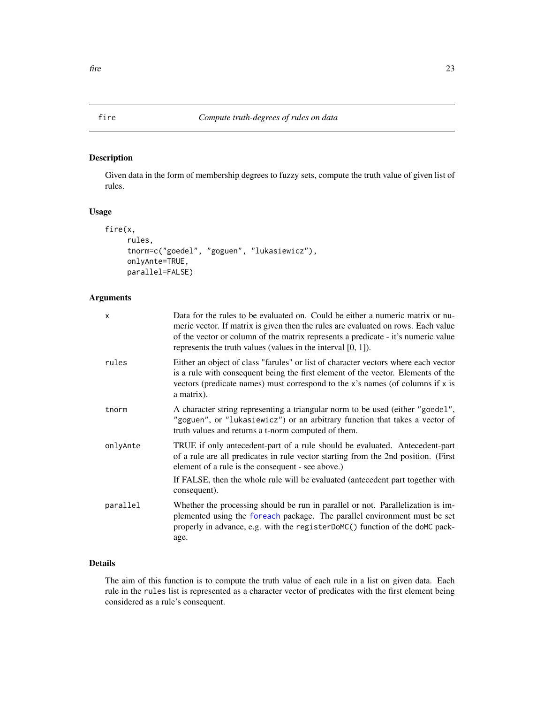Given data in the form of membership degrees to fuzzy sets, compute the truth value of given list of rules.

# Usage

```
fire(x,
     rules,
     tnorm=c("goedel", "goguen", "lukasiewicz"),
     onlyAnte=TRUE,
     parallel=FALSE)
```
# Arguments

| $\times$ | Data for the rules to be evaluated on. Could be either a numeric matrix or nu-<br>meric vector. If matrix is given then the rules are evaluated on rows. Each value<br>of the vector or column of the matrix represents a predicate - it's numeric value<br>represents the truth values (values in the interval $[0, 1]$ ). |
|----------|-----------------------------------------------------------------------------------------------------------------------------------------------------------------------------------------------------------------------------------------------------------------------------------------------------------------------------|
| rules    | Either an object of class "farules" or list of character vectors where each vector<br>is a rule with consequent being the first element of the vector. Elements of the<br>vectors (predicate names) must correspond to the x's names (of columns if x is<br>a matrix).                                                      |
| tnorm    | A character string representing a triangular norm to be used (either "goedel",<br>"goguen", or "lukasiewicz") or an arbitrary function that takes a vector of<br>truth values and returns a t-norm computed of them.                                                                                                        |
| onlyAnte | TRUE if only antecedent-part of a rule should be evaluated. Antecedent-part<br>of a rule are all predicates in rule vector starting from the 2nd position. (First<br>element of a rule is the consequent - see above.)<br>If FALSE, then the whole rule will be evaluated (antecedent part together with<br>consequent).    |
| parallel | Whether the processing should be run in parallel or not. Parallelization is im-<br>plemented using the foreach package. The parallel environment must be set<br>properly in advance, e.g. with the registerDoMC() function of the doMC pack-<br>age.                                                                        |

# Details

The aim of this function is to compute the truth value of each rule in a list on given data. Each rule in the rules list is represented as a character vector of predicates with the first element being considered as a rule's consequent.

<span id="page-22-1"></span><span id="page-22-0"></span>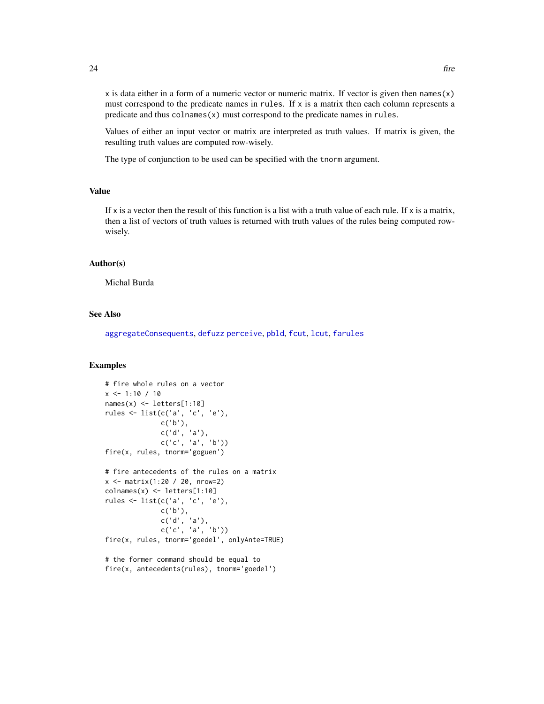<span id="page-23-0"></span> $x$  is data either in a form of a numeric vector or numeric matrix. If vector is given then names $(x)$ must correspond to the predicate names in rules. If  $x$  is a matrix then each column represents a predicate and thus colnames(x) must correspond to the predicate names in rules.

Values of either an input vector or matrix are interpreted as truth values. If matrix is given, the resulting truth values are computed row-wisely.

The type of conjunction to be used can be specified with the tnorm argument.

### Value

If x is a vector then the result of this function is a list with a truth value of each rule. If  $x$  is a matrix, then a list of vectors of truth values is returned with truth values of the rules being computed rowwisely.

#### Author(s)

Michal Burda

#### See Also

[aggregateConsequents](#page-3-1), [defuzz](#page-14-1) [perceive](#page-41-1), [pbld](#page-39-1), [fcut](#page-19-1), [lcut](#page-33-1), [farules](#page-18-1)

#### Examples

```
# fire whole rules on a vector
x \le -1:10 / 10names(x) \leftarrow letters[1:10]rules <- list(c('a', 'c', 'e'),
              c('b'),
              c('d', 'a'),
              c('c', 'a', 'b'))
fire(x, rules, tnorm='goguen')
# fire antecedents of the rules on a matrix
x <- matrix(1:20 / 20, nrow=2)
colnames(x) <- letters[1:10]
rules <- list(c('a', 'c', 'e'),
              c('b'),
              c('d', 'a'),
              c('c', 'a', 'b'))fire(x, rules, tnorm='goedel', onlyAnte=TRUE)
```
# the former command should be equal to fire(x, antecedents(rules), tnorm='goedel')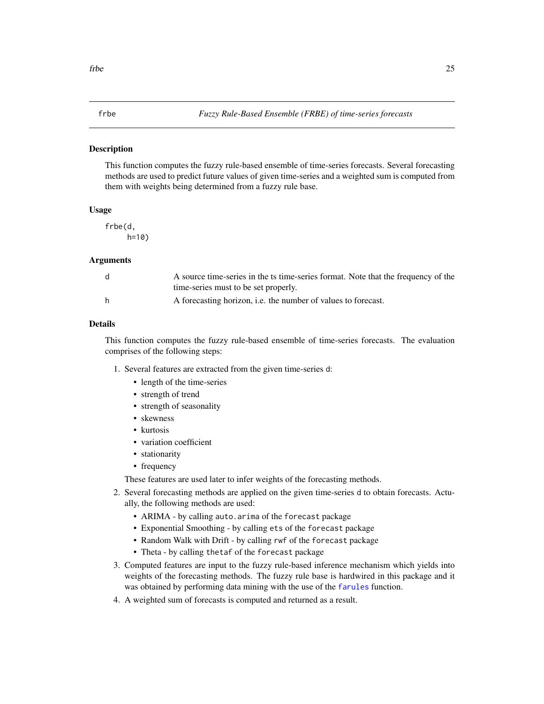<span id="page-24-1"></span><span id="page-24-0"></span>This function computes the fuzzy rule-based ensemble of time-series forecasts. Several forecasting methods are used to predict future values of given time-series and a weighted sum is computed from them with weights being determined from a fuzzy rule base.

#### Usage

frbe(d, h=10)

#### Arguments

|   | A source time-series in the ts time-series format. Note that the frequency of the |
|---|-----------------------------------------------------------------------------------|
|   | time-series must to be set properly.                                              |
| h | A forecasting horizon, <i>i.e.</i> the number of values to forecast.              |

#### Details

This function computes the fuzzy rule-based ensemble of time-series forecasts. The evaluation comprises of the following steps:

- 1. Several features are extracted from the given time-series d:
	- length of the time-series
	- strength of trend
	- strength of seasonality
	- skewness
	- kurtosis
	- variation coefficient
	- stationarity
	- frequency

These features are used later to infer weights of the forecasting methods.

- 2. Several forecasting methods are applied on the given time-series d to obtain forecasts. Actually, the following methods are used:
	- ARIMA by calling auto.arima of the forecast package
	- Exponential Smoothing by calling ets of the forecast package
	- Random Walk with Drift by calling rwf of the forecast package
	- Theta by calling thetaf of the forecast package
- 3. Computed features are input to the fuzzy rule-based inference mechanism which yields into weights of the forecasting methods. The fuzzy rule base is hardwired in this package and it was obtained by performing data mining with the use of the [farules](#page-18-1) function.
- 4. A weighted sum of forecasts is computed and returned as a result.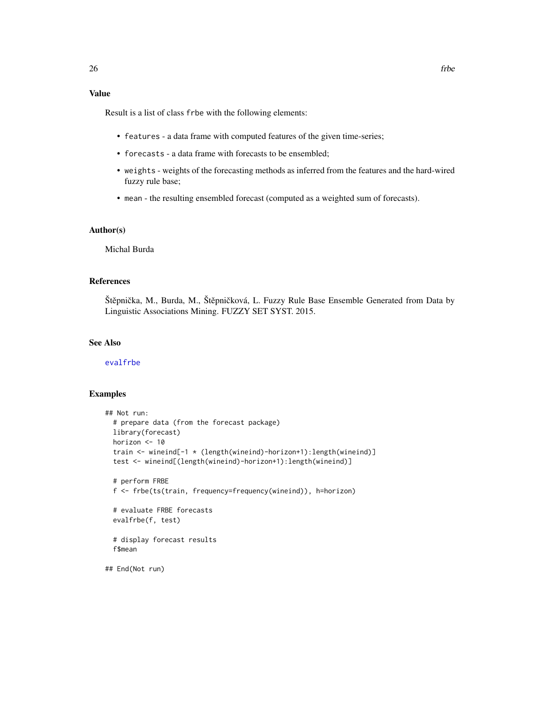# <span id="page-25-0"></span>Value

Result is a list of class frbe with the following elements:

- features a data frame with computed features of the given time-series;
- forecasts a data frame with forecasts to be ensembled;
- weights weights of the forecasting methods as inferred from the features and the hard-wired fuzzy rule base;
- mean the resulting ensembled forecast (computed as a weighted sum of forecasts).

### Author(s)

Michal Burda

#### References

Štěpnička, M., Burda, M., Štěpničková, L. Fuzzy Rule Base Ensemble Generated from Data by Linguistic Associations Mining. FUZZY SET SYST. 2015.

#### See Also

[evalfrbe](#page-17-1)

```
## Not run:
 # prepare data (from the forecast package)
 library(forecast)
 horizon <- 10
 train <- wineind[-1 * (length(wineind)-horizon+1):length(wineind)]
 test <- wineind[(length(wineind)-horizon+1):length(wineind)]
 # perform FRBE
 f <- frbe(ts(train, frequency=frequency(wineind)), h=horizon)
 # evaluate FRBE forecasts
 evalfrbe(f, test)
 # display forecast results
 f$mean
## End(Not run)
```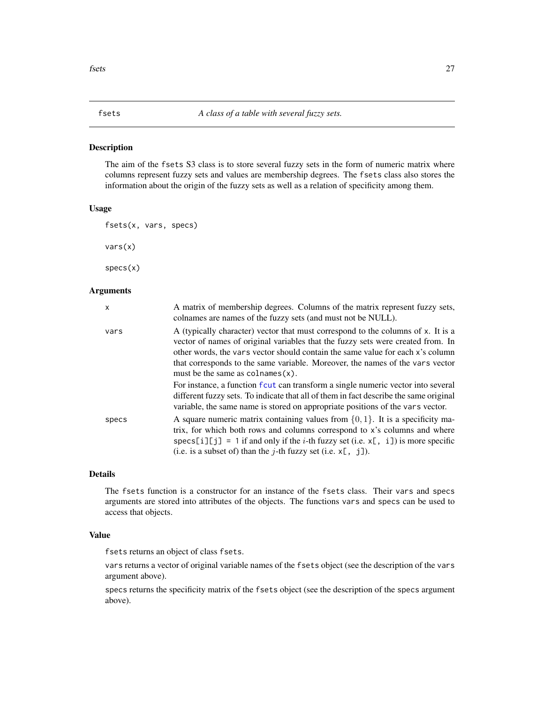<span id="page-26-2"></span><span id="page-26-1"></span><span id="page-26-0"></span>The aim of the fsets S3 class is to store several fuzzy sets in the form of numeric matrix where columns represent fuzzy sets and values are membership degrees. The fsets class also stores the information about the origin of the fuzzy sets as well as a relation of specificity among them.

#### Usage

```
fsets(x, vars, specs)
```
vars(x)

specs(x)

#### **Arguments**

| x     | A matrix of membership degrees. Columns of the matrix represent fuzzy sets,<br>colnames are names of the fuzzy sets (and must not be NULL).                                                                                                                                                                                                                                          |
|-------|--------------------------------------------------------------------------------------------------------------------------------------------------------------------------------------------------------------------------------------------------------------------------------------------------------------------------------------------------------------------------------------|
| vars  | A (typically character) vector that must correspond to the columns of x. It is a<br>vector of names of original variables that the fuzzy sets were created from. In<br>other words, the vars vector should contain the same value for each x's column<br>that corresponds to the same variable. Moreover, the names of the vars vector<br>must be the same as $\text{colnames}(x)$ . |
|       | For instance, a function fout can transform a single numeric vector into several<br>different fuzzy sets. To indicate that all of them in fact describe the same original<br>variable, the same name is stored on appropriate positions of the vars vector.                                                                                                                          |
| specs | A square numeric matrix containing values from $\{0, 1\}$ . It is a specificity ma-<br>trix, for which both rows and columns correspond to x's columns and where<br>specs[i][j] = 1 if and only if the <i>i</i> -th fuzzy set (i.e. $x$ [, i]) is more specific<br>(i.e. is a subset of) than the <i>j</i> -th fuzzy set (i.e. $x$ [, j]).                                           |

# Details

The fsets function is a constructor for an instance of the fsets class. Their vars and specs arguments are stored into attributes of the objects. The functions vars and specs can be used to access that objects.

#### Value

fsets returns an object of class fsets.

vars returns a vector of original variable names of the fsets object (see the description of the vars argument above).

specs returns the specificity matrix of the fsets object (see the description of the specs argument above).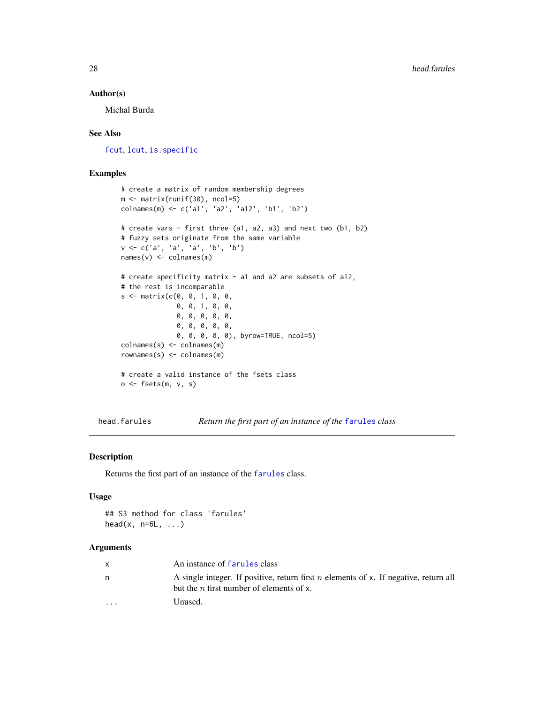# <span id="page-27-0"></span>Author(s)

Michal Burda

# See Also

[fcut](#page-19-1), [lcut](#page-33-1), [is.specific](#page-31-1)

#### Examples

```
# create a matrix of random membership degrees
m <- matrix(runif(30), ncol=5)
colnames(m) <- c('a1', 'a2', 'a12', 'b1', 'b2')
# create vars - first three (a1, a2, a3) and next two (b1, b2)
# fuzzy sets originate from the same variable
v <- c('a', 'a', 'a', 'b', 'b')
names(v) <- colnames(m)
# create specificity matrix - a1 and a2 are subsets of a12,
# the rest is incomparable
s \le matrix(c(0, 0, 1, 0, 0,0, 0, 1, 0, 0,
              0, 0, 0, 0, 0,
              0, 0, 0, 0, 0,
              0, 0, 0, 0, 0), byrow=TRUE, ncol=5)
colnames(s) <- colnames(m)
rownames(s) <- colnames(m)
# create a valid instance of the fsets class
o \leftarrow \text{fests}(m, v, s)
```
<span id="page-27-1"></span>head.farules *Return the first part of an instance of the* [farules](#page-18-1) *class*

#### Description

Returns the first part of an instance of the [farules](#page-18-1) class.

#### Usage

## S3 method for class 'farules' head( $x, n=6L, ...$ )

# Arguments

|          | An instance of farules class                                                                                                       |
|----------|------------------------------------------------------------------------------------------------------------------------------------|
| n        | A single integer. If positive, return first n elements of x. If negative, return all<br>but the $n$ first number of elements of x. |
| $\cdots$ | Unused.                                                                                                                            |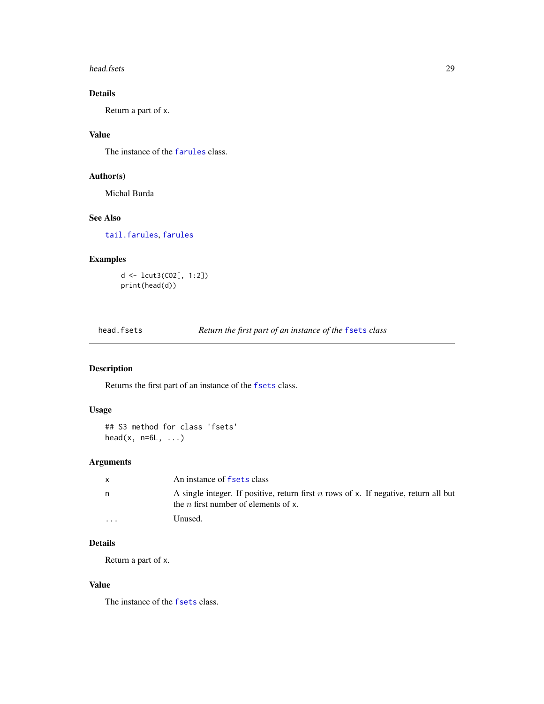#### <span id="page-28-0"></span>head.fsets 29

# Details

Return a part of x.

# Value

The instance of the [farules](#page-18-1) class.

# Author(s)

Michal Burda

# See Also

[tail.farules](#page-54-1), [farules](#page-18-1)

# Examples

d <- lcut3(CO2[, 1:2]) print(head(d))

<span id="page-28-1"></span>head.fsets *Return the first part of an instance of the* [fsets](#page-26-1) *class*

# Description

Returns the first part of an instance of the [fsets](#page-26-1) class.

# Usage

```
## S3 method for class 'fsets'
head(x, n=6L, \ldots)
```
# Arguments

| $\mathsf{x}$ | An instance of fsets class                                                                                                          |
|--------------|-------------------------------------------------------------------------------------------------------------------------------------|
| n.           | A single integer. If positive, return first n rows of x. If negative, return all but<br>the <i>n</i> first number of elements of x. |
| $\cdot$      | Unused.                                                                                                                             |

# Details

Return a part of x.

#### Value

The instance of the [fsets](#page-26-1) class.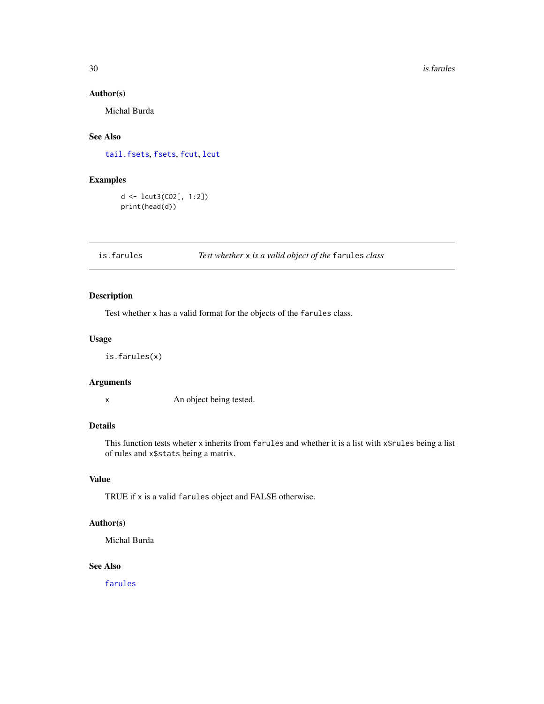#### Author(s)

Michal Burda

# See Also

[tail.fsets](#page-55-1), [fsets](#page-26-1), [fcut](#page-19-1), [lcut](#page-33-1)

# Examples

d <- lcut3(CO2[, 1:2]) print(head(d))

# is.farules *Test whether* x *is a valid object of the* farules *class*

# Description

Test whether x has a valid format for the objects of the farules class.

#### Usage

is.farules(x)

#### Arguments

x An object being tested.

# Details

This function tests wheter x inherits from farules and whether it is a list with x\$rules being a list of rules and x\$stats being a matrix.

# Value

TRUE if x is a valid farules object and FALSE otherwise.

# Author(s)

Michal Burda

# See Also

[farules](#page-18-1)

<span id="page-29-0"></span>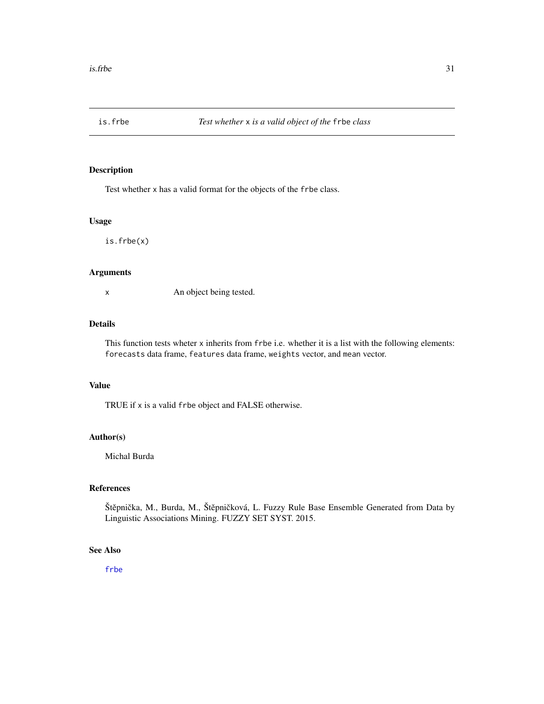<span id="page-30-0"></span>

Test whether x has a valid format for the objects of the frbe class.

#### Usage

is.frbe(x)

#### Arguments

x An object being tested.

#### Details

This function tests wheter x inherits from frbe i.e. whether it is a list with the following elements: forecasts data frame, features data frame, weights vector, and mean vector.

#### Value

TRUE if x is a valid frbe object and FALSE otherwise.

# Author(s)

Michal Burda

# References

Štěpnička, M., Burda, M., Štěpničková, L. Fuzzy Rule Base Ensemble Generated from Data by Linguistic Associations Mining. FUZZY SET SYST. 2015.

# See Also

[frbe](#page-24-1)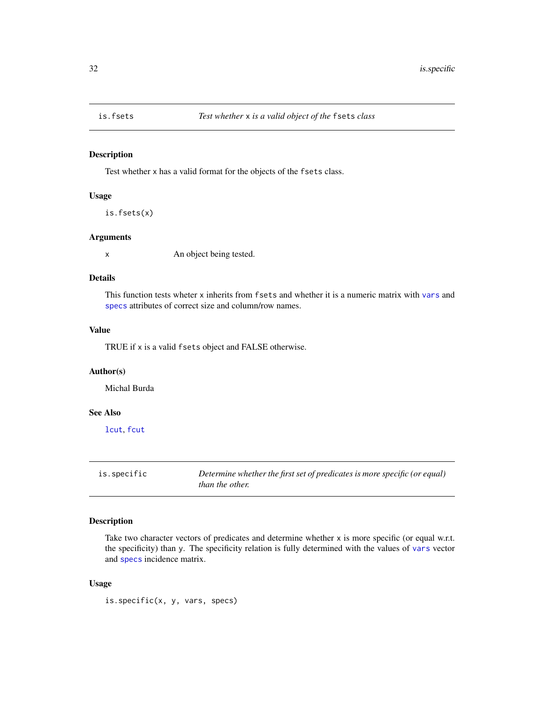<span id="page-31-0"></span>

Test whether x has a valid format for the objects of the fsets class.

# Usage

is.fsets(x)

#### Arguments

x An object being tested.

# Details

This function tests wheter x inherits from fsets and whether it is a numeric matrix with [vars](#page-26-2) and [specs](#page-26-2) attributes of correct size and column/row names.

# Value

TRUE if x is a valid fsets object and FALSE otherwise.

# Author(s)

Michal Burda

# See Also

[lcut](#page-33-1), [fcut](#page-19-1)

<span id="page-31-1"></span>is.specific *Determine whether the first set of predicates is more specific (or equal) than the other.*

### Description

Take two character vectors of predicates and determine whether x is more specific (or equal w.r.t. the specificity) than y. The specificity relation is fully determined with the values of [vars](#page-26-2) vector and [specs](#page-26-2) incidence matrix.

# Usage

is.specific(x, y, vars, specs)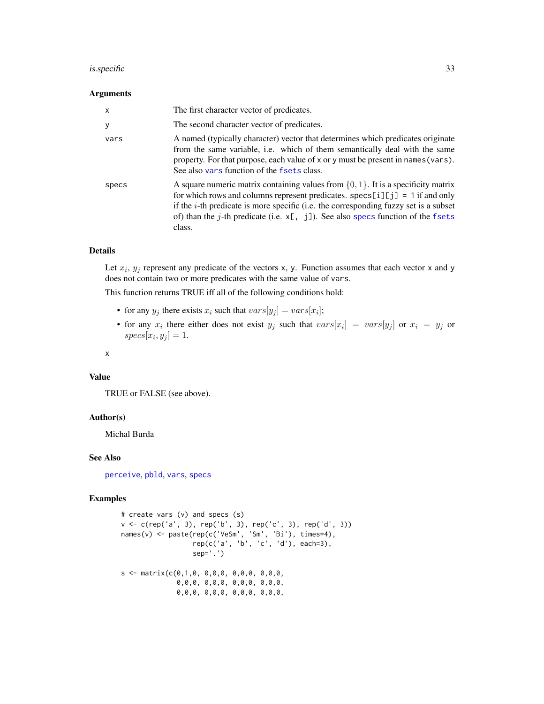#### <span id="page-32-0"></span>is.specific 33

#### Arguments

| $\mathsf{x}$ | The first character vector of predicates.                                                                                                                                                                                                                                                                                                                                 |
|--------------|---------------------------------------------------------------------------------------------------------------------------------------------------------------------------------------------------------------------------------------------------------------------------------------------------------------------------------------------------------------------------|
| У            | The second character vector of predicates.                                                                                                                                                                                                                                                                                                                                |
| vars         | A named (typically character) vector that determines which predicates originate<br>from the same variable, i.e. which of them semantically deal with the same<br>property. For that purpose, each value of x or y must be present in names (vars).<br>See also vars function of the fsets class.                                                                          |
| specs        | A square numeric matrix containing values from $\{0, 1\}$ . It is a specificity matrix<br>for which rows and columns represent predicates. $\text{spec}[i][j] = 1$ if and only<br>if the $i$ -th predicate is more specific (i.e. the corresponding fuzzy set is a subset<br>of) than the j-th predicate (i.e. $x$ [, j]). See also specs function of the fsets<br>class. |

#### Details

Let  $x_i$ ,  $y_j$  represent any predicate of the vectors x, y. Function assumes that each vector x and y does not contain two or more predicates with the same value of vars.

This function returns TRUE iff all of the following conditions hold:

- for any  $y_j$  there exists  $x_i$  such that  $vars[y_j] = vars[x_i]$ ;
- for any  $x_i$  there either does not exist  $y_j$  such that  $vars[x_i] = vars[y_j]$  or  $x_i = y_j$  or  $species[x_i, y_j] = 1.$

x

# Value

TRUE or FALSE (see above).

#### Author(s)

Michal Burda

#### See Also

[perceive](#page-41-1), [pbld](#page-39-1), [vars](#page-26-2), [specs](#page-26-2)

```
# create vars (v) and specs (s)
v <- c(rep('a', 3), rep('b', 3), rep('c', 3), rep('d', 3))
names(v) <- paste(rep(c('VeSm', 'Sm', 'Bi'), times=4),
                  rep(c('a', 'b', 'c', 'd'), each=3),sep='.')
s \leq - matrix(c(0,1,0, 0,0,0, 0,0,0, 0,0,0,0,0,0, 0,0,0, 0,0,0, 0,0,0,
              0,0,0, 0,0,0, 0,0,0, 0,0,0,
```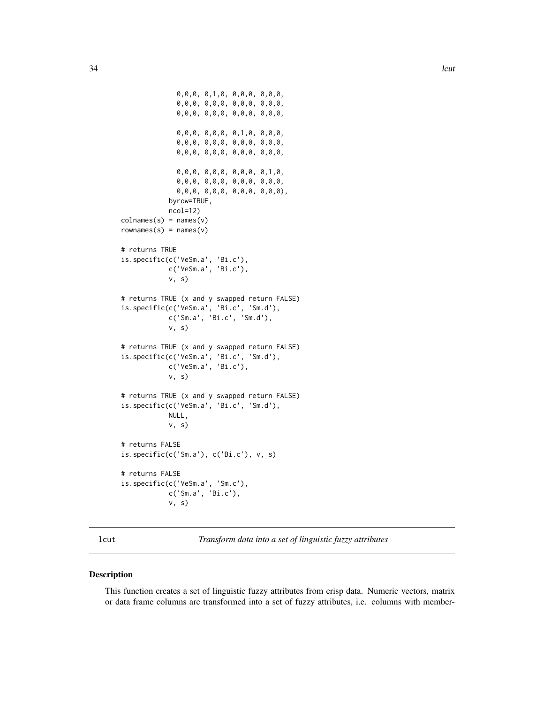```
0,0,0, 0,1,0, 0,0,0, 0,0,0,
              0,0,0, 0,0,0, 0,0,0, 0,0,0,
              0,0,0, 0,0,0, 0,0,0, 0,0,0,
              0,0,0, 0,0,0, 0,1,0, 0,0,0,
              0,0,0, 0,0,0, 0,0,0, 0,0,0,
              0,0,0, 0,0,0, 0,0,0, 0,0,0,
              0,0,0, 0,0,0, 0,0,0, 0,1,0,
              0,0,0, 0,0,0, 0,0,0, 0,0,0,
              0,0,0, 0,0,0, 0,0,0, 0,0,0),
            byrow=TRUE,
            ncol=12)
colnames(s) = names(v)rownames(s) = names(v)# returns TRUE
is.specific(c('VeSm.a', 'Bi.c'),
            c('VeSm.a', 'Bi.c'),
            v, s)
# returns TRUE (x and y swapped return FALSE)
is.specific(c('VeSm.a', 'Bi.c', 'Sm.d'),
            c('Sm.a', 'Bi.c', 'Sm.d'),
            v, s)
# returns TRUE (x and y swapped return FALSE)
is.specific(c('VeSm.a', 'Bi.c', 'Sm.d'),
            c('VeSm.a', 'Bi.c'),
            v, s)
# returns TRUE (x and y swapped return FALSE)
is.specific(c('VeSm.a', 'Bi.c', 'Sm.d'),
            NULL,
            v, s)
# returns FALSE
is.specific(c('Sm.a'), c('Bi.c'), v, s)
# returns FALSE
is.specific(c('VeSm.a', 'Sm.c'),
            c('Sm.a', 'Bi.c'),
            v, s)
```
<span id="page-33-1"></span>

lcut *Transform data into a set of linguistic fuzzy attributes*

#### Description

This function creates a set of linguistic fuzzy attributes from crisp data. Numeric vectors, matrix or data frame columns are transformed into a set of fuzzy attributes, i.e. columns with member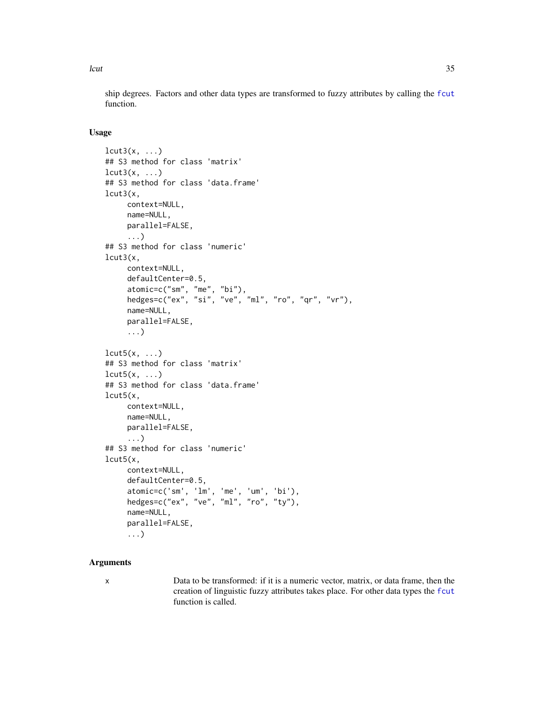<span id="page-34-0"></span>lcut 35

ship degrees. Factors and other data types are transformed to fuzzy attributes by calling the [fcut](#page-19-1) function.

# Usage

```
lcut3(x, \ldots)## S3 method for class 'matrix'
lcut3(x, \ldots)## S3 method for class 'data.frame'
lcut3(x,
     context=NULL,
     name=NULL,
     parallel=FALSE,
     ...)
## S3 method for class 'numeric'
lcut3(x,
     context=NULL,
     defaultCenter=0.5,
     atomic=c("sm", "me", "bi"),
     hedges=c("ex", "si", "ve", "ml", "ro", "qr", "vr"),
     name=NULL,
     parallel=FALSE,
     ...)
lcut5(x, \ldots)## S3 method for class 'matrix'
lcut5(x, \ldots)## S3 method for class 'data.frame'
lcut5(x,
     context=NULL,
     name=NULL,
     parallel=FALSE,
     ...)
## S3 method for class 'numeric'
lcut5(x,
     context=NULL,
     defaultCenter=0.5,
     atomic=c('sm', 'lm', 'me', 'um', 'bi'),
     hedges=c("ex", "ve", "ml", "ro", "ty"),
     name=NULL,
     parallel=FALSE,
     ...)
```
# Arguments

x Data to be transformed: if it is a numeric vector, matrix, or data frame, then the creation of linguistic fuzzy attributes takes place. For other data types the [fcut](#page-19-1) function is called.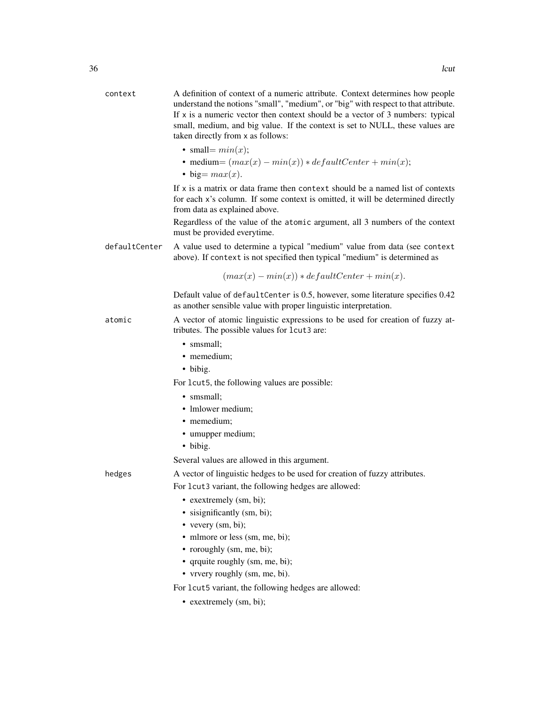| context       | A definition of context of a numeric attribute. Context determines how people<br>understand the notions "small", "medium", or "big" with respect to that attribute.<br>If $x$ is a numeric vector then context should be a vector of 3 numbers: typical<br>small, medium, and big value. If the context is set to NULL, these values are<br>taken directly from x as follows: |
|---------------|-------------------------------------------------------------------------------------------------------------------------------------------------------------------------------------------------------------------------------------------------------------------------------------------------------------------------------------------------------------------------------|
|               | • small= $min(x)$ ;                                                                                                                                                                                                                                                                                                                                                           |
|               | • medium= $(max(x) - min(x)) * defaultCenter + min(x);$<br>$\bullet$ big= $max(x)$ .                                                                                                                                                                                                                                                                                          |
|               | If x is a matrix or data frame then context should be a named list of contexts<br>for each x's column. If some context is omitted, it will be determined directly<br>from data as explained above.                                                                                                                                                                            |
|               | Regardless of the value of the atomic argument, all 3 numbers of the context<br>must be provided everytime.                                                                                                                                                                                                                                                                   |
| defaultCenter | A value used to determine a typical "medium" value from data (see context<br>above). If context is not specified then typical "medium" is determined as                                                                                                                                                                                                                       |
|               | $(max(x) - min(x)) * defaultCenter + min(x).$                                                                                                                                                                                                                                                                                                                                 |
|               | Default value of defaultCenter is 0.5, however, some literature specifies 0.42<br>as another sensible value with proper linguistic interpretation.                                                                                                                                                                                                                            |
| atomic        | A vector of atomic linguistic expressions to be used for creation of fuzzy at-<br>tributes. The possible values for lcut3 are:                                                                                                                                                                                                                                                |
|               | • smsmall;                                                                                                                                                                                                                                                                                                                                                                    |
|               | • memedium;                                                                                                                                                                                                                                                                                                                                                                   |
|               | • bibig.                                                                                                                                                                                                                                                                                                                                                                      |
|               | For 1 cut5, the following values are possible:                                                                                                                                                                                                                                                                                                                                |
|               | • smsmall;                                                                                                                                                                                                                                                                                                                                                                    |
|               | • Imlower medium;                                                                                                                                                                                                                                                                                                                                                             |
|               | • memedium;                                                                                                                                                                                                                                                                                                                                                                   |
|               | • umupper medium;                                                                                                                                                                                                                                                                                                                                                             |
|               | · bibig.                                                                                                                                                                                                                                                                                                                                                                      |
|               | Several values are allowed in this argument.                                                                                                                                                                                                                                                                                                                                  |
| hedges        | A vector of linguistic hedges to be used for creation of fuzzy attributes.<br>For lcut3 variant, the following hedges are allowed:                                                                                                                                                                                                                                            |
|               | • exextremely (sm, bi);                                                                                                                                                                                                                                                                                                                                                       |
|               | • sisignificantly (sm, bi);                                                                                                                                                                                                                                                                                                                                                   |
|               | • vevery $(sm, bi)$ ;                                                                                                                                                                                                                                                                                                                                                         |
|               | • mlmore or less (sm, me, bi);                                                                                                                                                                                                                                                                                                                                                |
|               | • roroughly (sm, me, bi);                                                                                                                                                                                                                                                                                                                                                     |
|               | • qrquite roughly (sm, me, bi);                                                                                                                                                                                                                                                                                                                                               |
|               | • vrvery roughly (sm, me, bi).                                                                                                                                                                                                                                                                                                                                                |
|               | For lcut5 variant, the following hedges are allowed:                                                                                                                                                                                                                                                                                                                          |
|               | • exextremely (sm, bi);                                                                                                                                                                                                                                                                                                                                                       |
|               |                                                                                                                                                                                                                                                                                                                                                                               |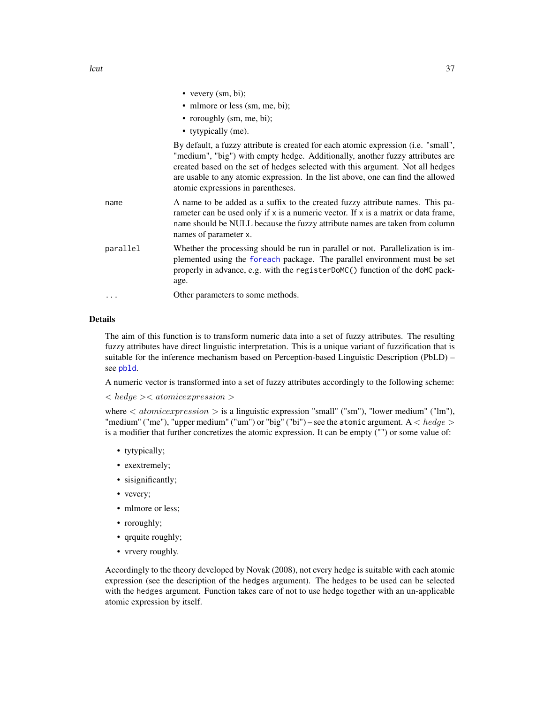<span id="page-36-0"></span>

|          | • vevery $(sm, bi)$ ;                                                                                                                                                                                                                                                                                                                                                           |
|----------|---------------------------------------------------------------------------------------------------------------------------------------------------------------------------------------------------------------------------------------------------------------------------------------------------------------------------------------------------------------------------------|
|          | • mlmore or less (sm, me, bi);                                                                                                                                                                                                                                                                                                                                                  |
|          | • roroughly (sm, me, bi);                                                                                                                                                                                                                                                                                                                                                       |
|          | • tytypically (me).                                                                                                                                                                                                                                                                                                                                                             |
|          | By default, a fuzzy attribute is created for each atomic expression (i.e. "small",<br>"medium", "big") with empty hedge. Additionally, another fuzzy attributes are<br>created based on the set of hedges selected with this argument. Not all hedges<br>are usable to any atomic expression. In the list above, one can find the allowed<br>atomic expressions in parentheses. |
| name     | A name to be added as a suffix to the created fuzzy attribute names. This pa-<br>rameter can be used only if $x$ is a numeric vector. If $x$ is a matrix or data frame,<br>name should be NULL because the fuzzy attribute names are taken from column<br>names of parameter x.                                                                                                 |
| parallel | Whether the processing should be run in parallel or not. Parallelization is im-<br>plemented using the foreach package. The parallel environment must be set<br>properly in advance, e.g. with the register DoMC() function of the doMC pack-<br>age.                                                                                                                           |
| .        | Other parameters to some methods.                                                                                                                                                                                                                                                                                                                                               |

#### Details

The aim of this function is to transform numeric data into a set of fuzzy attributes. The resulting fuzzy attributes have direct linguistic interpretation. This is a unique variant of fuzzification that is suitable for the inference mechanism based on Perception-based Linguistic Description (PbLD) – see [pbld](#page-39-1).

A numeric vector is transformed into a set of fuzzy attributes accordingly to the following scheme:

< hedge >< atomicexpression >

where  $\langle$  atomicexpression  $\rangle$  is a linguistic expression "small" ("sm"), "lower medium" ("lm"), "medium" ("me"), "upper medium" ("um") or "big" ("bi") – see the atomic argument.  $A < hedge$ is a modifier that further concretizes the atomic expression. It can be empty ("") or some value of:

- tytypically;
- exextremely;
- sisignificantly;
- vevery;
- mlmore or less;
- roroughly;
- qrquite roughly;
- vrvery roughly.

Accordingly to the theory developed by Novak (2008), not every hedge is suitable with each atomic expression (see the description of the hedges argument). The hedges to be used can be selected with the hedges argument. Function takes care of not to use hedge together with an un-applicable atomic expression by itself.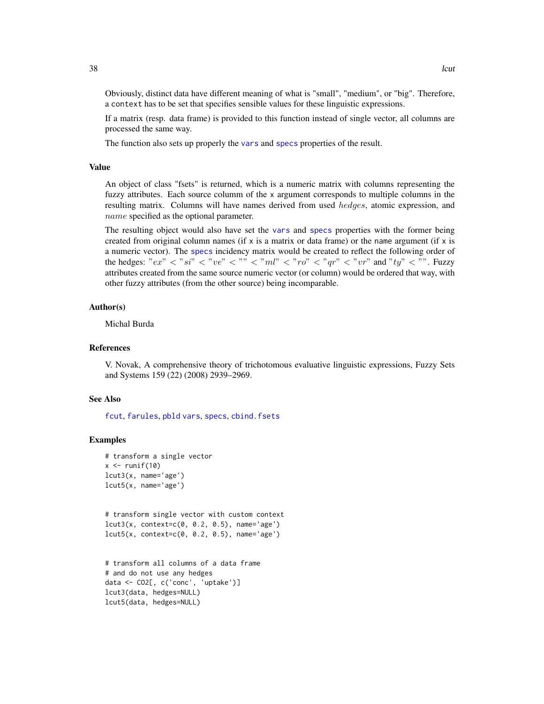Obviously, distinct data have different meaning of what is "small", "medium", or "big". Therefore, a context has to be set that specifies sensible values for these linguistic expressions.

If a matrix (resp. data frame) is provided to this function instead of single vector, all columns are processed the same way.

The function also sets up properly the [vars](#page-26-2) and [specs](#page-26-2) properties of the result.

# Value

An object of class "fsets" is returned, which is a numeric matrix with columns representing the fuzzy attributes. Each source columm of the x argument corresponds to multiple columns in the resulting matrix. Columns will have names derived from used hedges, atomic expression, and name specified as the optional parameter.

The resulting object would also have set the [vars](#page-26-2) and [specs](#page-26-2) properties with the former being created from original column names (if x is a matrix or data frame) or the name argument (if x is a numeric vector). The [specs](#page-26-2) incidency matrix would be created to reflect the following order of the hedges: " $ex$ "  $\langle$  " $si$ "  $\langle$  " $ve$ "  $\langle$  " $ve$ "  $\langle$  ""  $\langle$  " $ml$ "  $\langle$  " $ro$ "  $\langle$  " $qr$ "  $\langle$  " $vr$ " and " $ty$ "  $\langle$  "". Fuzzy attributes created from the same source numeric vector (or column) would be ordered that way, with other fuzzy attributes (from the other source) being incomparable.

#### Author(s)

Michal Burda

# References

V. Novak, A comprehensive theory of trichotomous evaluative linguistic expressions, Fuzzy Sets and Systems 159 (22) (2008) 2939–2969.

#### See Also

[fcut](#page-19-1), [farules](#page-18-1), [pbld](#page-39-1) [vars](#page-26-2), [specs](#page-26-2), [cbind.fsets](#page-11-1)

```
# transform a single vector
x \leftarrow runif(10)lcut3(x, name='age')
lcut5(x, name='age')
# transform single vector with custom context
lcut3(x, context=c(0, 0.2, 0.5), name='age')
lcut5(x, context=c(0, 0.2, 0.5), name='age')
```

```
# transform all columns of a data frame
# and do not use any hedges
data <- CO2[, c('conc', 'uptake')]
lcut3(data, hedges=NULL)
lcut5(data, hedges=NULL)
```
<span id="page-37-0"></span>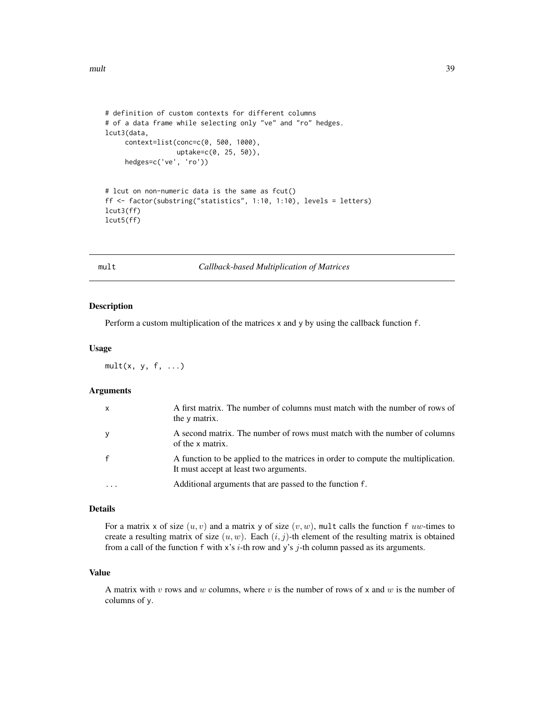```
# definition of custom contexts for different columns
# of a data frame while selecting only "ve" and "ro" hedges.
lcut3(data,
     context=list(conc=c(0, 500, 1000),
                  uptake=c(0, 25, 50)),
     hedges=c('ve', 'ro'))
# lcut on non-numeric data is the same as fcut()
ff <- factor(substring("statistics", 1:10, 1:10), levels = letters)
lcut3(ff)
lcut5(ff)
```
mult *Callback-based Multiplication of Matrices*

#### Description

Perform a custom multiplication of the matrices x and y by using the callback function f.

#### Usage

 $mult(x, y, f, ...)$ 

# Arguments

| $\mathsf{x}$ | A first matrix. The number of columns must match with the number of rows of<br>the y matrix.                               |
|--------------|----------------------------------------------------------------------------------------------------------------------------|
| y            | A second matrix. The number of rows must match with the number of columns<br>of the x matrix.                              |
|              | A function to be applied to the matrices in order to compute the multiplication.<br>It must accept at least two arguments. |
|              | Additional arguments that are passed to the function f.                                                                    |

#### Details

For a matrix x of size  $(u, v)$  and a matrix y of size  $(v, w)$ , mult calls the function f uw-times to create a resulting matrix of size  $(u, w)$ . Each  $(i, j)$ -th element of the resulting matrix is obtained from a call of the function f with x's  $i$ -th row and y's  $j$ -th column passed as its arguments.

#### Value

A matrix with v rows and w columns, where v is the number of rows of x and w is the number of columns of y.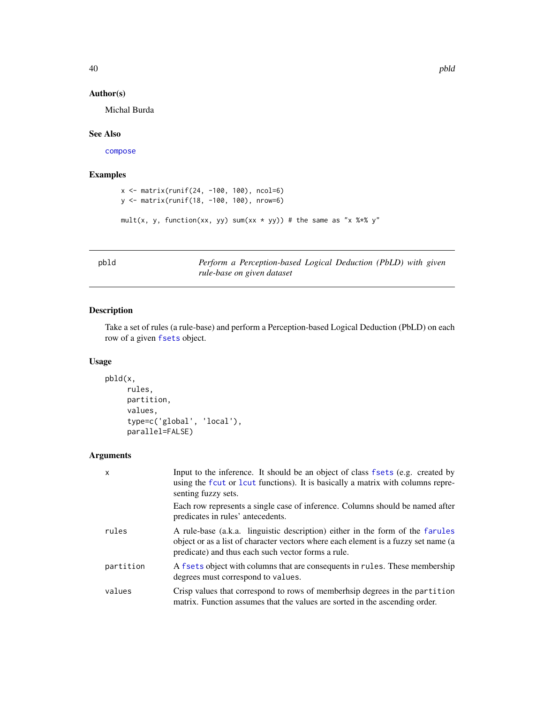# Author(s)

Michal Burda

### See Also

[compose](#page-12-1)

# Examples

```
x <- matrix(runif(24, -100, 100), ncol=6)
y <- matrix(runif(18, -100, 100), nrow=6)
mult(x, y, function(xx, yy) sum(xx * yy)) # the same as "x %*% y"
```
<span id="page-39-1"></span>pbld *Perform a Perception-based Logical Deduction (PbLD) with given rule-base on given dataset*

# Description

Take a set of rules (a rule-base) and perform a Perception-based Logical Deduction (PbLD) on each row of a given [fsets](#page-26-1) object.

# Usage

```
pbld(x,
     rules,
     partition,
     values,
     type=c('global', 'local'),
     parallel=FALSE)
```
# Arguments

| $\mathsf{x}$ | Input to the inference. It should be an object of class fsets (e.g. created by<br>using the fcut or lcut functions). It is basically a matrix with columns repre-<br>senting fuzzy sets.                                  |
|--------------|---------------------------------------------------------------------------------------------------------------------------------------------------------------------------------------------------------------------------|
|              | Each row represents a single case of inference. Columns should be named after<br>predicates in rules' antecedents.                                                                                                        |
| rules        | A rule-base (a.k.a. linguistic description) either in the form of the farules<br>object or as a list of character vectors where each element is a fuzzy set name (a<br>predicate) and thus each such vector forms a rule. |
| partition    | A fsets object with columns that are consequents in rules. These membership<br>degrees must correspond to values.                                                                                                         |
| values       | Crisp values that correspond to rows of memberhsip degrees in the partition<br>matrix. Function assumes that the values are sorted in the ascending order.                                                                |

<span id="page-39-0"></span>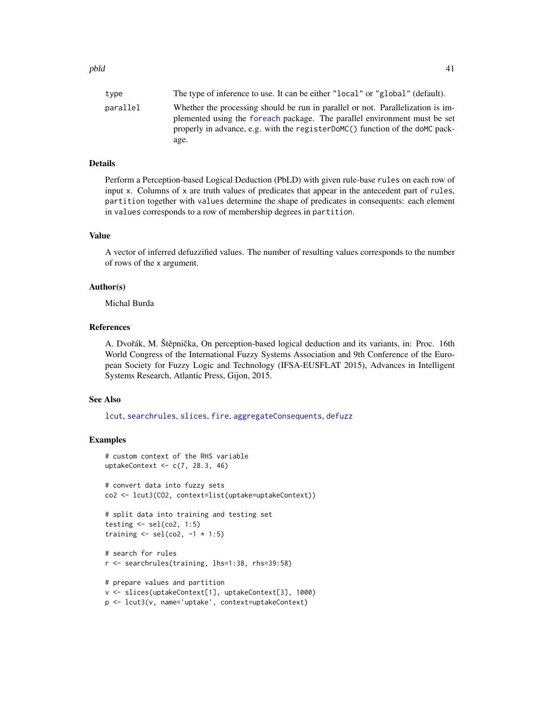<span id="page-40-0"></span>

| type     | The type of inference to use. It can be either "local" or "global" (default).                                                                                                                                                                         |
|----------|-------------------------------------------------------------------------------------------------------------------------------------------------------------------------------------------------------------------------------------------------------|
| parallel | Whether the processing should be run in parallel or not. Parallelization is im-<br>plemented using the foreach package. The parallel environment must be set<br>properly in advance, e.g. with the register DoMC() function of the doMC pack-<br>age. |

# Details

Perform a Perception-based Logical Deduction (PbLD) with given rule-base rules on each row of input x. Columns of x are truth values of predicates that appear in the antecedent part of rules, partition together with values determine the shape of predicates in consequents: each element in values corresponds to a row of membership degrees in partition.

### Value

A vector of inferred defuzzified values. The number of resulting values corresponds to the number of rows of the x argument.

#### Author(s)

Michal Burda

# References

A. Dvořák, M. Štěpnička, On perception-based logical deduction and its variants, in: Proc. 16th World Congress of the International Fuzzy Systems Association and 9th Conference of the European Society for Fuzzy Logic and Technology (IFSA-EUSFLAT 2015), Advances in Intelligent Systems Research, Atlantic Press, Gijon, 2015.

#### See Also

[lcut](#page-33-1), [searchrules](#page-49-1), [slices](#page-53-1), [fire](#page-22-1), [aggregateConsequents](#page-3-1), [defuzz](#page-14-1)

```
# custom context of the RHS variable
uptakeContext <- c(7, 28.3, 46)
# convert data into fuzzy sets
co2 <- lcut3(CO2, context=list(uptake=uptakeContext))
# split data into training and testing set
testing \le sel(co2, 1:5)
training \leq sel(co2, -1 \times 1:5)
# search for rules
r <- searchrules(training, lhs=1:38, rhs=39:58)
# prepare values and partition
v <- slices(uptakeContext[1], uptakeContext[3], 1000)
p <- lcut3(v, name='uptake', context=uptakeContext)
```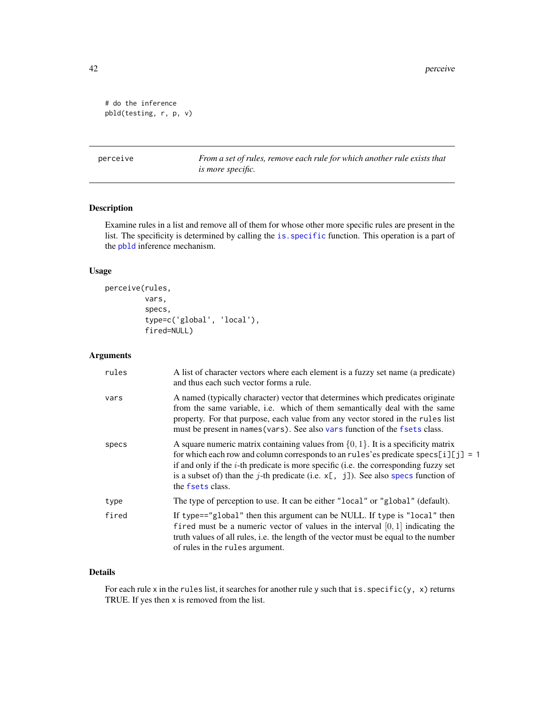```
# do the inference
pbld(testing, r, p, v)
```
<span id="page-41-1"></span>perceive *From a set of rules, remove each rule for which another rule exists that is more specific.*

# Description

Examine rules in a list and remove all of them for whose other more specific rules are present in the list. The specificity is determined by calling the [is.specific](#page-31-1) function. This operation is a part of the [pbld](#page-39-1) inference mechanism.

# Usage

```
perceive(rules,
         vars,
         specs,
         type=c('global', 'local'),
         fired=NULL)
```
# Arguments

| rules | A list of character vectors where each element is a fuzzy set name (a predicate)<br>and thus each such vector forms a rule.                                                                                                                                                                                                                                                          |
|-------|--------------------------------------------------------------------------------------------------------------------------------------------------------------------------------------------------------------------------------------------------------------------------------------------------------------------------------------------------------------------------------------|
| vars  | A named (typically character) vector that determines which predicates originate<br>from the same variable, i.e. which of them semantically deal with the same<br>property. For that purpose, each value from any vector stored in the rules list<br>must be present in names (vars). See also vars function of the fsets class.                                                      |
| specs | A square numeric matrix containing values from $\{0, 1\}$ . It is a specificity matrix<br>for which each row and column corresponds to an rules' es predicate specs[i][j] = 1<br>if and only if the $i$ -th predicate is more specific (i.e. the corresponding fuzzy set<br>is a subset of) than the j-th predicate (i.e. $x$ [, j]). See also specs function of<br>the fsets class. |
| type  | The type of perception to use. It can be either "local" or "global" (default).                                                                                                                                                                                                                                                                                                       |
| fired | If type=="global" then this argument can be NULL. If type is "local" then<br>fired must be a numeric vector of values in the interval $[0, 1]$ indicating the<br>truth values of all rules, i.e. the length of the vector must be equal to the number<br>of rules in the rules argument.                                                                                             |

# Details

For each rule x in the rules list, it searches for another rule y such that is. specific(y, x) returns TRUE. If yes then x is removed from the list.

<span id="page-41-0"></span>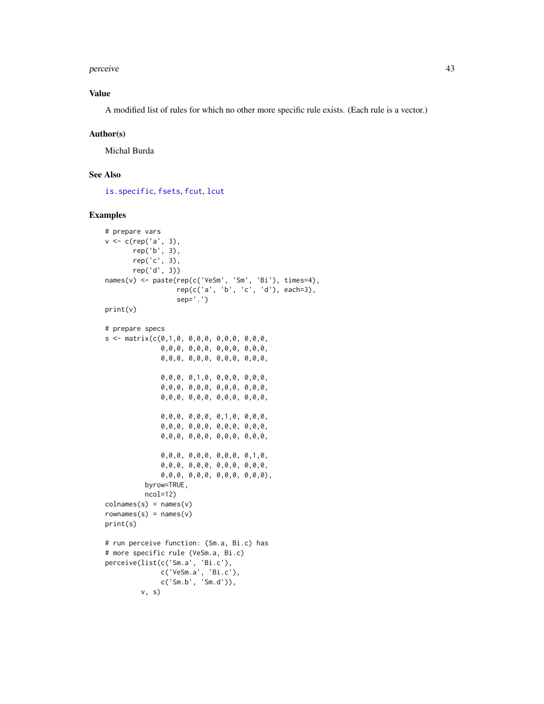#### <span id="page-42-0"></span>perceive the contract of the contract of the contract of the contract of the contract of the contract of the contract of the contract of the contract of the contract of the contract of the contract of the contract of the c

# Value

A modified list of rules for which no other more specific rule exists. (Each rule is a vector.)

#### Author(s)

Michal Burda

# See Also

[is.specific](#page-31-1), [fsets](#page-26-1), [fcut](#page-19-1), [lcut](#page-33-1)

```
# prepare vars
v <- c(rep('a', 3),
       rep('b', 3),
       rep('c', 3),
       rep('d', 3))
names(v) <- paste(rep(c('VeSm', 'Sm', 'Bi'), times=4),
                  rep(c('a', 'b', 'c', 'd'), each=3),
                  sep='.')
print(v)
# prepare specs
s \leq matrix(c(0,1,0, 0,0,0, 0,0,0, 0,0,0,
              0,0,0, 0,0,0, 0,0,0, 0,0,0,
              0,0,0, 0,0,0, 0,0,0, 0,0,0,
              0,0,0, 0,1,0, 0,0,0, 0,0,0,
              0,0,0, 0,0,0, 0,0,0, 0,0,0,
              0,0,0, 0,0,0, 0,0,0, 0,0,0,
              0,0,0, 0,0,0, 0,1,0, 0,0,0,
              0,0,0, 0,0,0, 0,0,0, 0,0,0,
              0,0,0, 0,0,0, 0,0,0, 0,0,0,
              0,0,0, 0,0,0, 0,0,0, 0,1,0,
              0,0,0, 0,0,0, 0,0,0, 0,0,0,
              0,0,0, 0,0,0, 0,0,0, 0,0,0),
          byrow=TRUE,
          ncol=12)
colnames(s) = names(v)rownames(s) = names(v)print(s)
# run perceive function: (Sm.a, Bi.c) has
# more specific rule (VeSm.a, Bi.c)
perceive(list(c('Sm.a', 'Bi.c'),
              c('VeSm.a', 'Bi.c'),
              c('Sm.b', 'Sm.d')),
         v, s)
```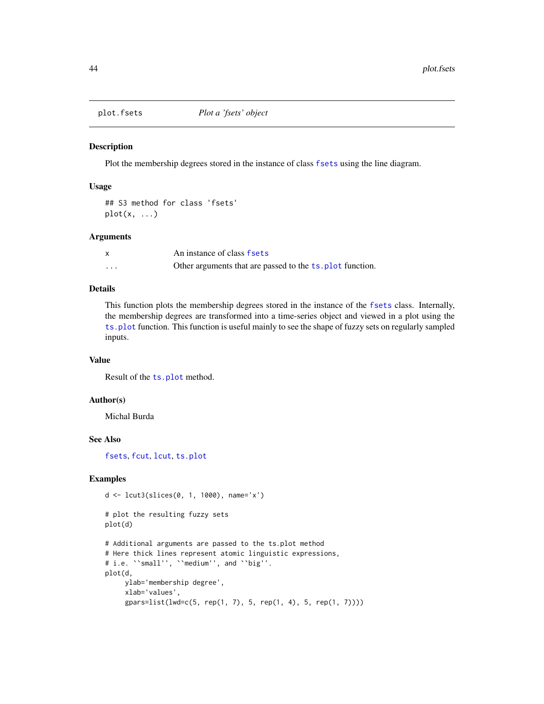<span id="page-43-0"></span>

Plot the membership degrees stored in the instance of class [fsets](#page-26-1) using the line diagram.

#### Usage

## S3 method for class 'fsets'  $plot(x, \ldots)$ 

#### Arguments

|   | An instance of class fsets                                |
|---|-----------------------------------------------------------|
| . | Other arguments that are passed to the ts. plot function. |

# Details

This function plots the membership degrees stored in the instance of the [fsets](#page-26-1) class. Internally, the membership degrees are transformed into a time-series object and viewed in a plot using the [ts.plot](#page-0-0) function. This function is useful mainly to see the shape of fuzzy sets on regularly sampled inputs.

#### Value

Result of the [ts.plot](#page-0-0) method.

#### Author(s)

Michal Burda

# See Also

[fsets](#page-26-1), [fcut](#page-19-1), [lcut](#page-33-1), [ts.plot](#page-0-0)

```
d <- lcut3(slices(0, 1, 1000), name='x')
# plot the resulting fuzzy sets
plot(d)
# Additional arguments are passed to the ts.plot method
# Here thick lines represent atomic linguistic expressions,
# i.e. ``small'', ``medium'', and ``big''.
plot(d,
    ylab='membership degree',
    xlab='values',
     gpars=list(lwd=c(5, rep(1, 7), 5, rep(1, 4), 5, rep(1, 7))))
```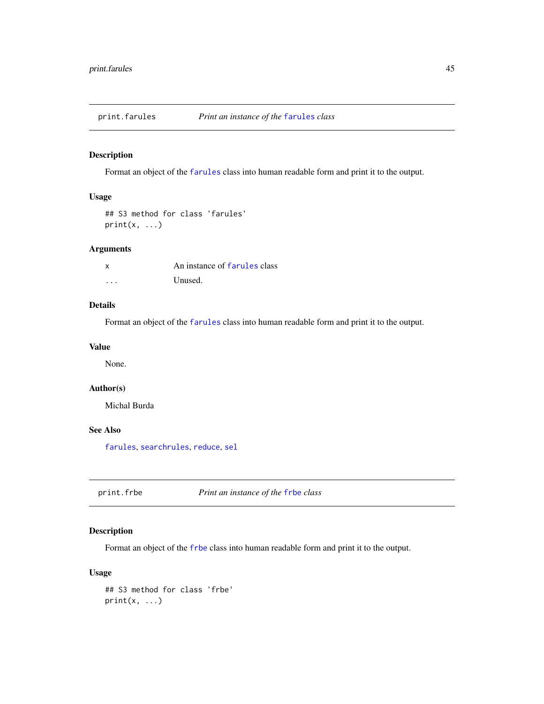<span id="page-44-0"></span>print.farules *Print an instance of the* [farules](#page-18-1) *class*

# Description

Format an object of the [farules](#page-18-1) class into human readable form and print it to the output.

# Usage

```
## S3 method for class 'farules'
print(x, \ldots)
```
# Arguments

|          | An instance of farules class |
|----------|------------------------------|
| $\cdots$ | Unused.                      |

# Details

Format an object of the [farules](#page-18-1) class into human readable form and print it to the output.

#### Value

None.

# Author(s)

Michal Burda

# See Also

[farules](#page-18-1), [searchrules](#page-49-1), [reduce](#page-48-1), [sel](#page-51-1)

print.frbe *Print an instance of the* [frbe](#page-24-1) *class*

# Description

Format an object of the [frbe](#page-24-1) class into human readable form and print it to the output.

# Usage

```
## S3 method for class 'frbe'
print(x, \ldots)
```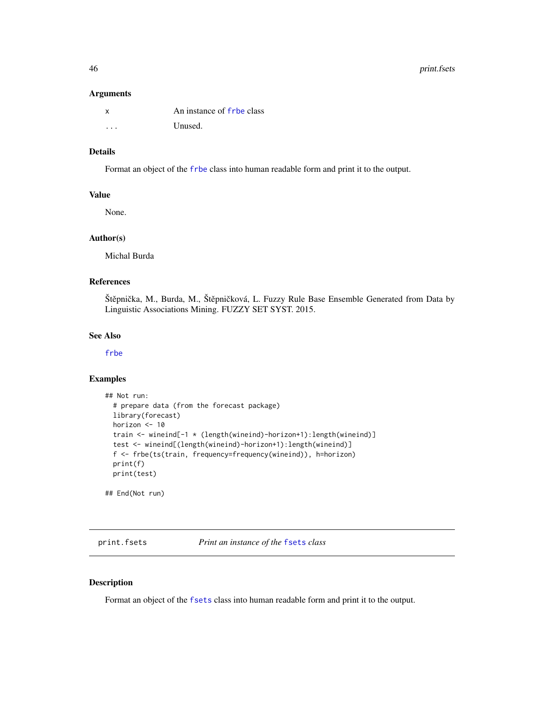46 print.fsets

#### Arguments

|   | An instance of frbe class |
|---|---------------------------|
| . | Unused.                   |

# Details

Format an object of the [frbe](#page-24-1) class into human readable form and print it to the output.

# Value

None.

#### Author(s)

Michal Burda

#### References

Štěpnička, M., Burda, M., Štěpničková, L. Fuzzy Rule Base Ensemble Generated from Data by Linguistic Associations Mining. FUZZY SET SYST. 2015.

#### See Also

[frbe](#page-24-1)

#### Examples

```
## Not run:
 # prepare data (from the forecast package)
 library(forecast)
 horizon <- 10
 train <- wineind[-1 * (length(wineind)-horizon+1):length(wineind)]
 test <- wineind[(length(wineind)-horizon+1):length(wineind)]
 f <- frbe(ts(train, frequency=frequency(wineind)), h=horizon)
 print(f)
 print(test)
```
## End(Not run)

print.fsets *Print an instance of the* [fsets](#page-26-1) *class*

# Description

Format an object of the [fsets](#page-26-1) class into human readable form and print it to the output.

<span id="page-45-0"></span>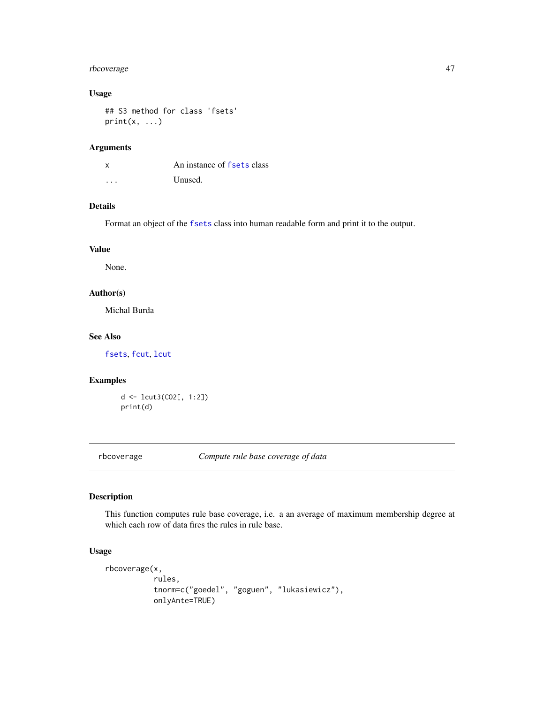# <span id="page-46-0"></span>rbcoverage 47

# Usage

## S3 method for class 'fsets'  $print(x, \ldots)$ 

#### Arguments

| x | An instance of fsets class |
|---|----------------------------|
| . | Unused.                    |

# Details

Format an object of the [fsets](#page-26-1) class into human readable form and print it to the output.

# Value

None.

# Author(s)

Michal Burda

# See Also

[fsets](#page-26-1), [fcut](#page-19-1), [lcut](#page-33-1)

# Examples

d <- lcut3(CO2[, 1:2]) print(d)

<span id="page-46-1"></span>rbcoverage *Compute rule base coverage of data*

# Description

This function computes rule base coverage, i.e. a an average of maximum membership degree at which each row of data fires the rules in rule base.

#### Usage

```
rbcoverage(x,
           rules,
           tnorm=c("goedel", "goguen", "lukasiewicz"),
           onlyAnte=TRUE)
```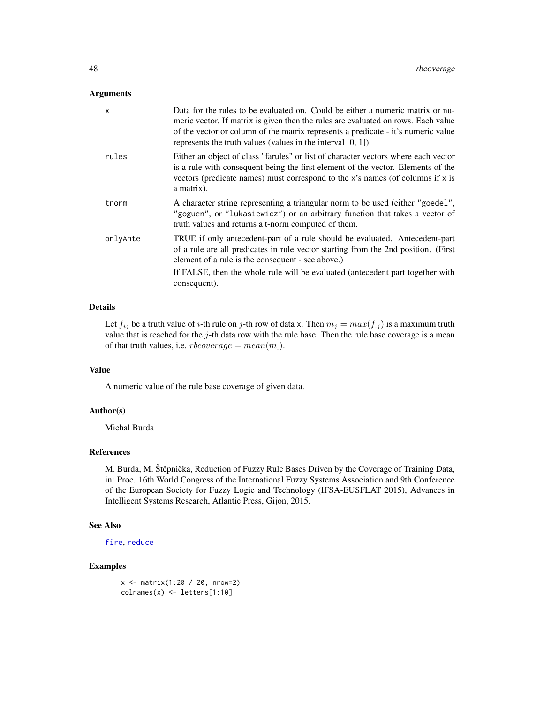#### <span id="page-47-0"></span>Arguments

| x        | Data for the rules to be evaluated on. Could be either a numeric matrix or nu-<br>meric vector. If matrix is given then the rules are evaluated on rows. Each value<br>of the vector or column of the matrix represents a predicate - it's numeric value<br>represents the truth values (values in the interval $[0, 1]$ ). |
|----------|-----------------------------------------------------------------------------------------------------------------------------------------------------------------------------------------------------------------------------------------------------------------------------------------------------------------------------|
| rules    | Either an object of class "farules" or list of character vectors where each vector<br>is a rule with consequent being the first element of the vector. Elements of the<br>vectors (predicate names) must correspond to the x's names (of columns if x is<br>a matrix).                                                      |
| tnorm    | A character string representing a triangular norm to be used (either "goedel",<br>"goguen", or "lukasiewicz") or an arbitrary function that takes a vector of<br>truth values and returns a t-norm computed of them.                                                                                                        |
| onlyAnte | TRUE if only antecedent-part of a rule should be evaluated. Antecedent-part<br>of a rule are all predicates in rule vector starting from the 2nd position. (First<br>element of a rule is the consequent - see above.)                                                                                                      |
|          | If FALSE, then the whole rule will be evaluated (antecedent part together with<br>consequent).                                                                                                                                                                                                                              |

# Details

Let  $f_{ij}$  be a truth value of *i*-th rule on *j*-th row of data x. Then  $m_j = max(f_{.j})$  is a maximum truth value that is reached for the  $j$ -th data row with the rule base. Then the rule base coverage is a mean of that truth values, i.e.  $rbcoverage = mean(m)$ .

#### Value

A numeric value of the rule base coverage of given data.

### Author(s)

Michal Burda

#### References

M. Burda, M. Štěpnička, Reduction of Fuzzy Rule Bases Driven by the Coverage of Training Data, in: Proc. 16th World Congress of the International Fuzzy Systems Association and 9th Conference of the European Society for Fuzzy Logic and Technology (IFSA-EUSFLAT 2015), Advances in Intelligent Systems Research, Atlantic Press, Gijon, 2015.

#### See Also

```
fire, reduce
```
#### Examples

 $x \le -$  matrix(1:20 / 20, nrow=2)  $\text{columns}(x) \leq \text{letters}[1:10]$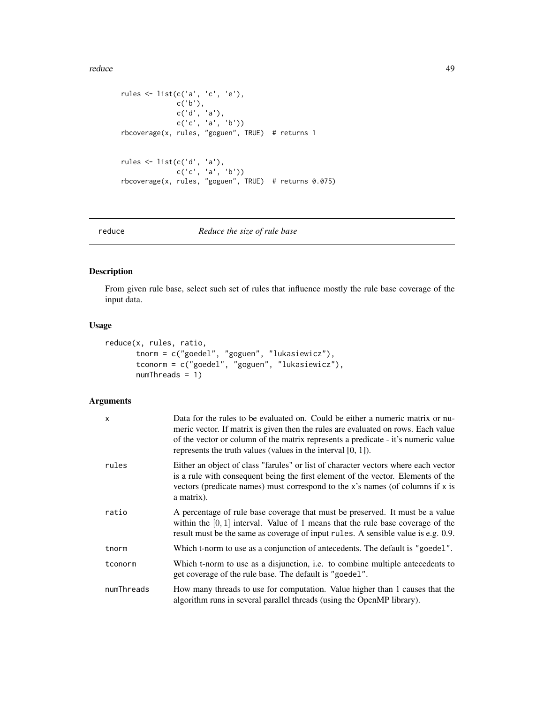<span id="page-48-0"></span>reduce the contract of the contract of the contract of the contract of the contract of the contract of the contract of the contract of the contract of the contract of the contract of the contract of the contract of the con

```
rules <- list(c('a', 'c', 'e'),
             c('b'),
              c('d', 'a'),
              c('c', 'a', 'b'))
rbcoverage(x, rules, "goguen", TRUE) # returns 1
rules <- list(c('d', 'a'),
              c('c', 'a', 'b'))
rbcoverage(x, rules, "goguen", TRUE) # returns 0.075)
```
<span id="page-48-1"></span>reduce *Reduce the size of rule base*

# Description

From given rule base, select such set of rules that influence mostly the rule base coverage of the input data.

# Usage

```
reduce(x, rules, ratio,
       tnorm = c("goedel", "goguen", "lukasiewicz"),
       tconorm = c("goedel", "goguen", "lukasiewicz"),
       numThreads = 1)
```
# Arguments

| X          | Data for the rules to be evaluated on. Could be either a numeric matrix or nu-<br>meric vector. If matrix is given then the rules are evaluated on rows. Each value<br>of the vector or column of the matrix represents a predicate - it's numeric value<br>represents the truth values (values in the interval $[0, 1]$ ). |
|------------|-----------------------------------------------------------------------------------------------------------------------------------------------------------------------------------------------------------------------------------------------------------------------------------------------------------------------------|
| rules      | Either an object of class "farules" or list of character vectors where each vector<br>is a rule with consequent being the first element of the vector. Elements of the<br>vectors (predicate names) must correspond to the x's names (of columns if x is<br>a matrix).                                                      |
| ratio      | A percentage of rule base coverage that must be preserved. It must be a value<br>within the $[0, 1]$ interval. Value of 1 means that the rule base coverage of the<br>result must be the same as coverage of input rules. A sensible value is e.g. 0.9.                                                                     |
| tnorm      | Which t-norm to use as a conjunction of antecedents. The default is "goedel".                                                                                                                                                                                                                                               |
| tconorm    | Which t-norm to use as a disjunction, <i>i.e.</i> to combine multiple antecedents to<br>get coverage of the rule base. The default is "goedel".                                                                                                                                                                             |
| numThreads | How many threads to use for computation. Value higher than 1 causes that the<br>algorithm runs in several parallel threads (using the OpenMP library).                                                                                                                                                                      |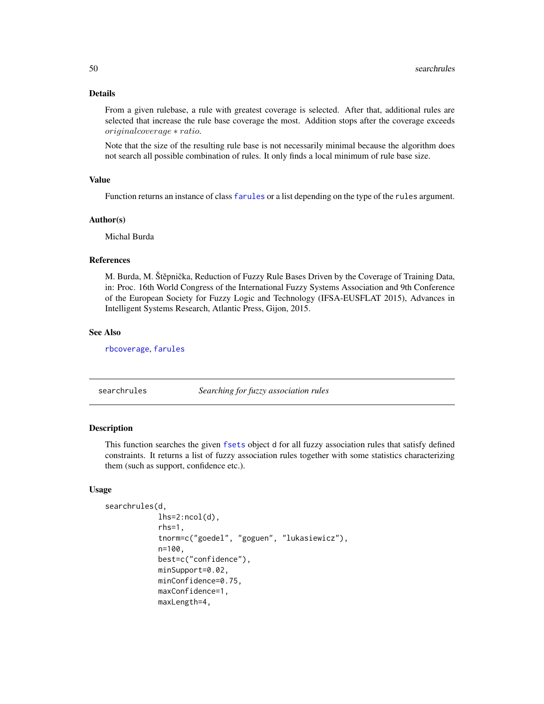#### <span id="page-49-0"></span>Details

From a given rulebase, a rule with greatest coverage is selected. After that, additional rules are selected that increase the rule base coverage the most. Addition stops after the coverage exceeds originalcoverage ∗ ratio.

Note that the size of the resulting rule base is not necessarily minimal because the algorithm does not search all possible combination of rules. It only finds a local minimum of rule base size.

#### Value

Function returns an instance of class [farules](#page-18-1) or a list depending on the type of the rules argument.

#### Author(s)

Michal Burda

#### References

M. Burda, M. Štěpnička, Reduction of Fuzzy Rule Bases Driven by the Coverage of Training Data, in: Proc. 16th World Congress of the International Fuzzy Systems Association and 9th Conference of the European Society for Fuzzy Logic and Technology (IFSA-EUSFLAT 2015), Advances in Intelligent Systems Research, Atlantic Press, Gijon, 2015.

#### See Also

[rbcoverage](#page-46-1), [farules](#page-18-1)

<span id="page-49-1"></span>

searchrules *Searching for fuzzy association rules*

#### Description

This function searches the given [fsets](#page-26-1) object d for all fuzzy association rules that satisfy defined constraints. It returns a list of fuzzy association rules together with some statistics characterizing them (such as support, confidence etc.).

#### Usage

```
searchrules(d,
            lhs=2:ncol(d),
            rhs=1,
            tnorm=c("goedel", "goguen", "lukasiewicz"),
            n=100,
            best=c("confidence"),
            minSupport=0.02,
            minConfidence=0.75,
            maxConfidence=1,
            maxLength=4,
```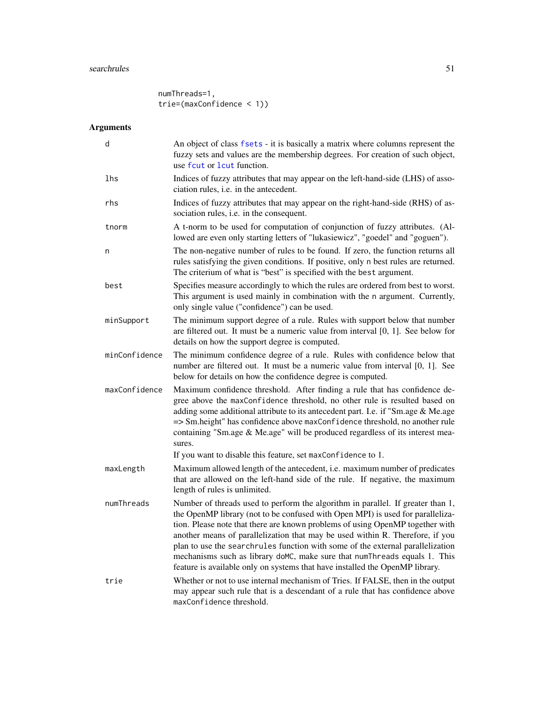# <span id="page-50-0"></span>searchrules 51

numThreads=1, trie=(maxConfidence < 1))

# Arguments

| d             | An object of class fsets - it is basically a matrix where columns represent the<br>fuzzy sets and values are the membership degrees. For creation of such object,<br>use fout or lout function.                                                                                                                                                                                                                                                                                                                                                                                    |
|---------------|------------------------------------------------------------------------------------------------------------------------------------------------------------------------------------------------------------------------------------------------------------------------------------------------------------------------------------------------------------------------------------------------------------------------------------------------------------------------------------------------------------------------------------------------------------------------------------|
| lhs           | Indices of fuzzy attributes that may appear on the left-hand-side (LHS) of asso-<br>ciation rules, i.e. in the antecedent.                                                                                                                                                                                                                                                                                                                                                                                                                                                         |
| rhs           | Indices of fuzzy attributes that may appear on the right-hand-side (RHS) of as-<br>sociation rules, i.e. in the consequent.                                                                                                                                                                                                                                                                                                                                                                                                                                                        |
| tnorm         | A t-norm to be used for computation of conjunction of fuzzy attributes. (Al-<br>lowed are even only starting letters of "lukasiewicz", "goedel" and "goguen").                                                                                                                                                                                                                                                                                                                                                                                                                     |
| n             | The non-negative number of rules to be found. If zero, the function returns all<br>rules satisfying the given conditions. If positive, only n best rules are returned.<br>The criterium of what is "best" is specified with the best argument.                                                                                                                                                                                                                                                                                                                                     |
| best          | Specifies measure accordingly to which the rules are ordered from best to worst.<br>This argument is used mainly in combination with the n argument. Currently,<br>only single value ("confidence") can be used.                                                                                                                                                                                                                                                                                                                                                                   |
| minSupport    | The minimum support degree of a rule. Rules with support below that number<br>are filtered out. It must be a numeric value from interval $[0, 1]$ . See below for<br>details on how the support degree is computed.                                                                                                                                                                                                                                                                                                                                                                |
| minConfidence | The minimum confidence degree of a rule. Rules with confidence below that<br>number are filtered out. It must be a numeric value from interval [0, 1]. See<br>below for details on how the confidence degree is computed.                                                                                                                                                                                                                                                                                                                                                          |
| maxConfidence | Maximum confidence threshold. After finding a rule that has confidence de-<br>gree above the maxConfidence threshold, no other rule is resulted based on<br>adding some additional attribute to its antecedent part. I.e. if "Sm.age & Me.age<br>=> Sm.height" has confidence above maxConfidence threshold, no another rule<br>containing "Sm.age & Me.age" will be produced regardless of its interest mea-<br>sures.                                                                                                                                                            |
|               | If you want to disable this feature, set maxConfidence to 1.                                                                                                                                                                                                                                                                                                                                                                                                                                                                                                                       |
| maxLength     | Maximum allowed length of the antecedent, i.e. maximum number of predicates<br>that are allowed on the left-hand side of the rule. If negative, the maximum<br>length of rules is unlimited.                                                                                                                                                                                                                                                                                                                                                                                       |
| numThreads    | Number of threads used to perform the algorithm in parallel. If greater than 1,<br>the OpenMP library (not to be confused with Open MPI) is used for paralleliza-<br>tion. Please note that there are known problems of using OpenMP together with<br>another means of parallelization that may be used within R. Therefore, if you<br>plan to use the searchrules function with some of the external parallelization<br>mechanisms such as library doMC, make sure that numThreads equals 1. This<br>feature is available only on systems that have installed the OpenMP library. |
| trie          | Whether or not to use internal mechanism of Tries. If FALSE, then in the output<br>may appear such rule that is a descendant of a rule that has confidence above<br>maxConfidence threshold.                                                                                                                                                                                                                                                                                                                                                                                       |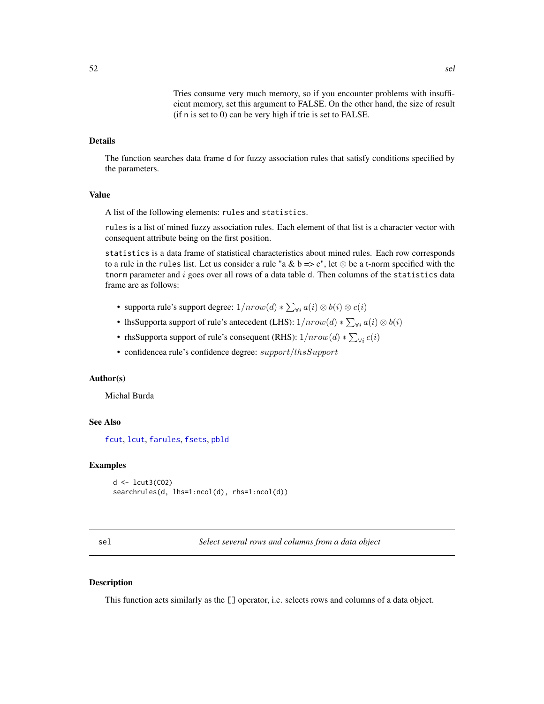Tries consume very much memory, so if you encounter problems with insufficient memory, set this argument to FALSE. On the other hand, the size of result (if n is set to 0) can be very high if trie is set to FALSE.

#### <span id="page-51-0"></span>Details

The function searches data frame d for fuzzy association rules that satisfy conditions specified by the parameters.

# Value

A list of the following elements: rules and statistics.

rules is a list of mined fuzzy association rules. Each element of that list is a character vector with consequent attribute being on the first position.

statistics is a data frame of statistical characteristics about mined rules. Each row corresponds to a rule in the rules list. Let us consider a rule "a & b => c", let  $\otimes$  be a t-norm specified with the the the parameter and  $i$  goes over all rows of a data table d. Then columns of the statistics data frame are as follows:

- supporta rule's support degree:  $1/nrow(d) * \sum_{\forall i} a(i) \otimes b(i) \otimes c(i)$
- IhsSupporta support of rule's antecedent (LHS):  $1/nrow(d) * \sum_{\forall i} a(i) \otimes b(i)$
- rhsSupporta support of rule's consequent (RHS):  $1/nrow(d) * \sum_{\forall i} c(i)$
- confidencea rule's confidence degree: support/lhsSupport

#### Author(s)

Michal Burda

#### See Also

[fcut](#page-19-1), [lcut](#page-33-1), [farules](#page-18-1), [fsets](#page-26-1), [pbld](#page-39-1)

#### Examples

```
d \leftarrow \text{lcut3(C02)}searchrules(d, lhs=1:ncol(d), rhs=1:ncol(d))
```
<span id="page-51-1"></span>sel *Select several rows and columns from a data object*

#### **Description**

This function acts similarly as the [] operator, i.e. selects rows and columns of a data object.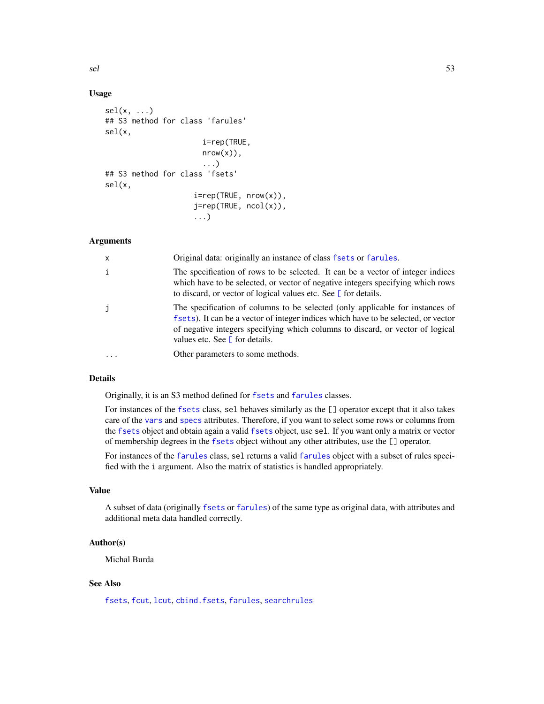#### Usage

```
sel(x, \ldots)## S3 method for class 'farules'
sel(x,
                       i=rep(TRUE,
                       nrow(x),
                       ...)
## S3 method for class 'fsets'
sel(x,
                     i=rep(TRUE, nrow(x)),
                    j=rep(TRUE, ncol(x)),
                     ...)
```
# Arguments

| $\mathsf{x}$ | Original data: originally an instance of class fsets or farules.                                                                                                                                                                                                                               |
|--------------|------------------------------------------------------------------------------------------------------------------------------------------------------------------------------------------------------------------------------------------------------------------------------------------------|
| i            | The specification of rows to be selected. It can be a vector of integer indices<br>which have to be selected, or vector of negative integers specifying which rows<br>to discard, or vector of logical values etc. See $\Gamma$ for details.                                                   |
| j.           | The specification of columns to be selected (only applicable for instances of<br>fsets). It can be a vector of integer indices which have to be selected, or vector<br>of negative integers specifying which columns to discard, or vector of logical<br>values etc. See $\Gamma$ for details. |
|              | Other parameters to some methods.                                                                                                                                                                                                                                                              |

# Details

Originally, it is an S3 method defined for [fsets](#page-26-1) and [farules](#page-18-1) classes.

For instances of the [fsets](#page-26-1) class, sel behaves similarly as the [] operator except that it also takes care of the [vars](#page-26-2) and [specs](#page-26-2) attributes. Therefore, if you want to select some rows or columns from the [fsets](#page-26-1) object and obtain again a valid [fsets](#page-26-1) object, use sel. If you want only a matrix or vector of membership degrees in the [fsets](#page-26-1) object without any other attributes, use the [] operator.

For instances of the [farules](#page-18-1) class, sel returns a valid [farules](#page-18-1) object with a subset of rules specified with the i argument. Also the matrix of statistics is handled appropriately.

# Value

A subset of data (originally [fsets](#page-26-1) or [farules](#page-18-1)) of the same type as original data, with attributes and additional meta data handled correctly.

# Author(s)

Michal Burda

#### See Also

[fsets](#page-26-1), [fcut](#page-19-1), [lcut](#page-33-1), [cbind.fsets](#page-11-1), [farules](#page-18-1), [searchrules](#page-49-1)

<span id="page-52-0"></span>sel 53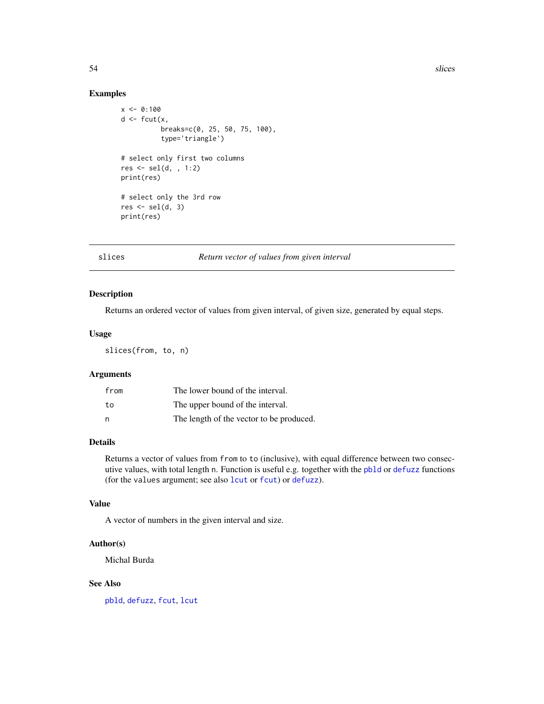# Examples

```
x \le -0:100d \leq fcut(x,breaks=c(0, 25, 50, 75, 100),
          type='triangle')
# select only first two columns
res <- sel(d, , 1:2)
print(res)
# select only the 3rd row
res \le sel(d, 3)
print(res)
```
<span id="page-53-1"></span>

#### slices *Return vector of values from given interval*

# Description

Returns an ordered vector of values from given interval, of given size, generated by equal steps.

#### Usage

slices(from, to, n)

# Arguments

| from | The lower bound of the interval.         |
|------|------------------------------------------|
| to   | The upper bound of the interval.         |
| n    | The length of the vector to be produced. |

#### Details

Returns a vector of values from from to to (inclusive), with equal difference between two consecutive values, with total length n. Function is useful e.g. together with the [pbld](#page-39-1) or [defuzz](#page-14-1) functions (for the values argument; see also [lcut](#page-33-1) or [fcut](#page-19-1)) or [defuzz](#page-14-1)).

# Value

A vector of numbers in the given interval and size.

# Author(s)

Michal Burda

#### See Also

[pbld](#page-39-1), [defuzz](#page-14-1), [fcut](#page-19-1), [lcut](#page-33-1)

<span id="page-53-0"></span>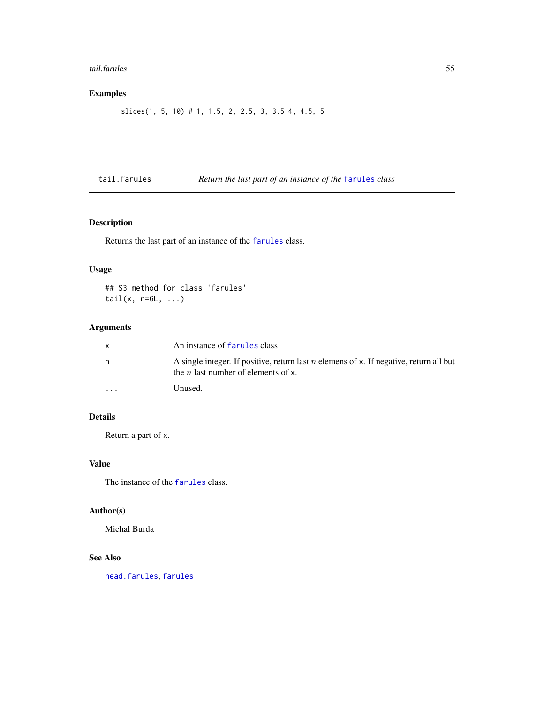#### <span id="page-54-0"></span>tail.farules 55

# Examples

```
slices(1, 5, 10) # 1, 1.5, 2, 2.5, 3, 3.5 4, 4.5, 5
```
# <span id="page-54-1"></span>tail.farules *Return the last part of an instance of the* [farules](#page-18-1) *class*

# Description

Returns the last part of an instance of the [farules](#page-18-1) class.

# Usage

## S3 method for class 'farules' tail $(x, n=6L, ...)$ 

# Arguments

| X        | An instance of farules class                                                                                                         |
|----------|--------------------------------------------------------------------------------------------------------------------------------------|
| n        | A single integer. If positive, return last n elemens of x. If negative, return all but<br>the <i>n</i> last number of elements of x. |
| $\cdots$ | Unused.                                                                                                                              |

# Details

Return a part of x.

#### Value

The instance of the [farules](#page-18-1) class.

# Author(s)

Michal Burda

# See Also

[head.farules](#page-27-1), [farules](#page-18-1)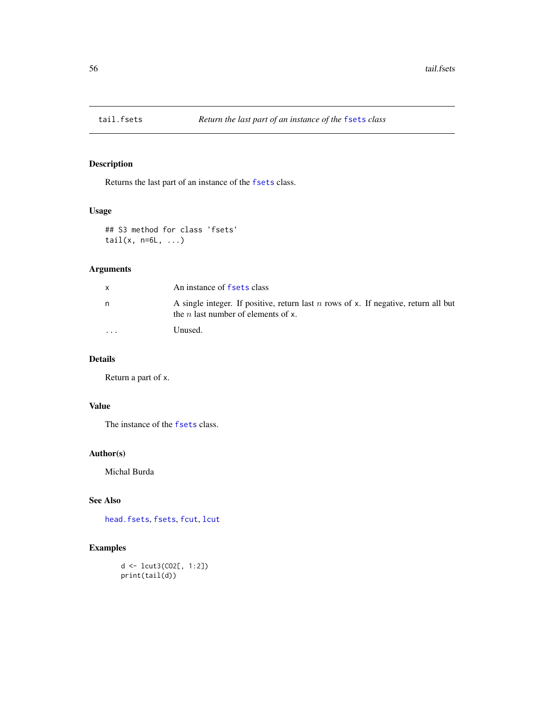<span id="page-55-1"></span><span id="page-55-0"></span>

Returns the last part of an instance of the [fsets](#page-26-1) class.

# Usage

```
## S3 method for class 'fsets'
tail(x, n=6L, ...)
```
# Arguments

| X       | An instance of fsets class                                                                                                          |
|---------|-------------------------------------------------------------------------------------------------------------------------------------|
| n       | A single integer. If positive, return last $n$ rows of x. If negative, return all but<br>the <i>n</i> last number of elements of x. |
| $\cdot$ | Unused.                                                                                                                             |

# Details

Return a part of x.

# Value

The instance of the [fsets](#page-26-1) class.

# Author(s)

Michal Burda

# See Also

[head.fsets](#page-28-1), [fsets](#page-26-1), [fcut](#page-19-1), [lcut](#page-33-1)

# Examples

d <- lcut3(CO2[, 1:2]) print(tail(d))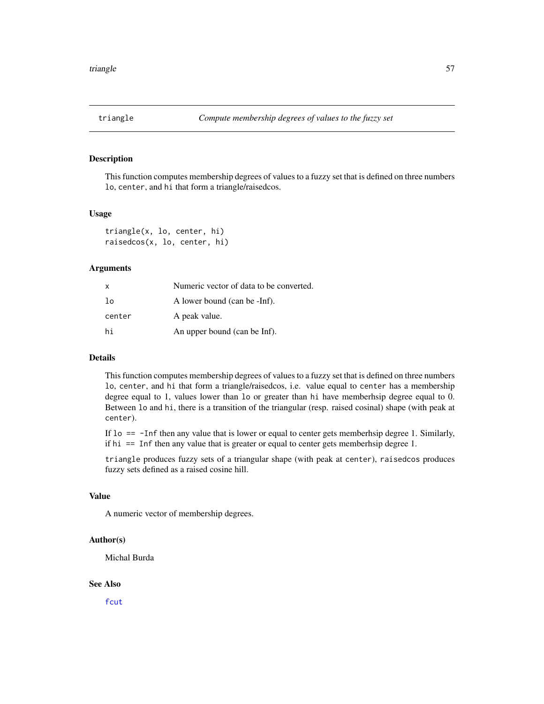<span id="page-56-2"></span><span id="page-56-1"></span><span id="page-56-0"></span>

This function computes membership degrees of values to a fuzzy set that is defined on three numbers lo, center, and hi that form a triangle/raisedcos.

#### Usage

```
triangle(x, lo, center, hi)
raisedcos(x, lo, center, hi)
```
# Arguments

| X      | Numeric vector of data to be converted. |
|--------|-----------------------------------------|
| lo     | A lower bound (can be -Inf).            |
| center | A peak value.                           |
| hi     | An upper bound (can be Inf).            |

# Details

This function computes membership degrees of values to a fuzzy set that is defined on three numbers lo, center, and hi that form a triangle/raisedcos, i.e. value equal to center has a membership degree equal to 1, values lower than lo or greater than hi have memberhsip degree equal to 0. Between lo and hi, there is a transition of the triangular (resp. raised cosinal) shape (with peak at center).

If lo == -Inf then any value that is lower or equal to center gets memberhsip degree 1. Similarly, if hi == Inf then any value that is greater or equal to center gets memberhsip degree 1.

triangle produces fuzzy sets of a triangular shape (with peak at center), raisedcos produces fuzzy sets defined as a raised cosine hill.

# Value

A numeric vector of membership degrees.

#### Author(s)

Michal Burda

#### See Also

[fcut](#page-19-1)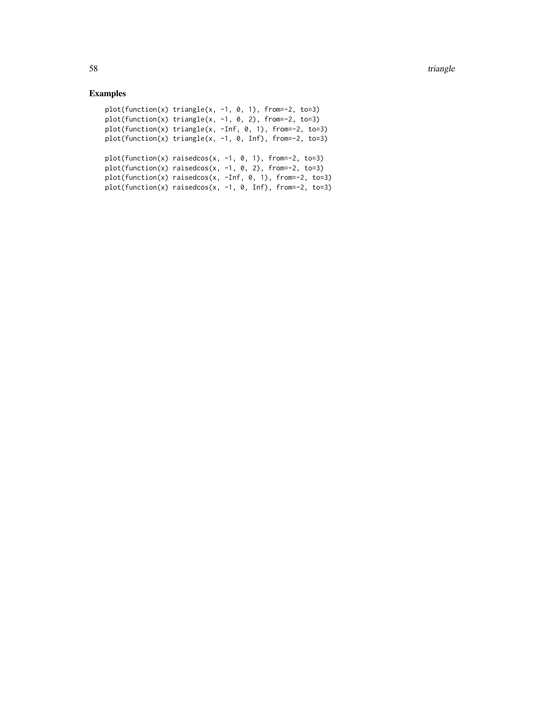```
plot(function(x) triangle(x, -1, 0, 1), from=-2, to=3)
plot(function(x) triangle(x, -1, 0, 2), from=-2, to=3)plot(function(x) triangle(x, -Inf, 0, 1), from=-2, to=3)
plot(function(x) triangle(x, -1, 0, Inf), from=-2, to=3)
plot(function(x) raise does(x, -1, 0, 1), from=-2, to=3)plot(function(x) raisedcos(x, -1, 0, 2), from=-2, to=3)plot(function(x) raisedcos(x, -Inf, 0, 1), from=-2, to=3)
plot(function(x) raises <math>(x, -1, 0, Inf)</math>, from=-2, to=3)
```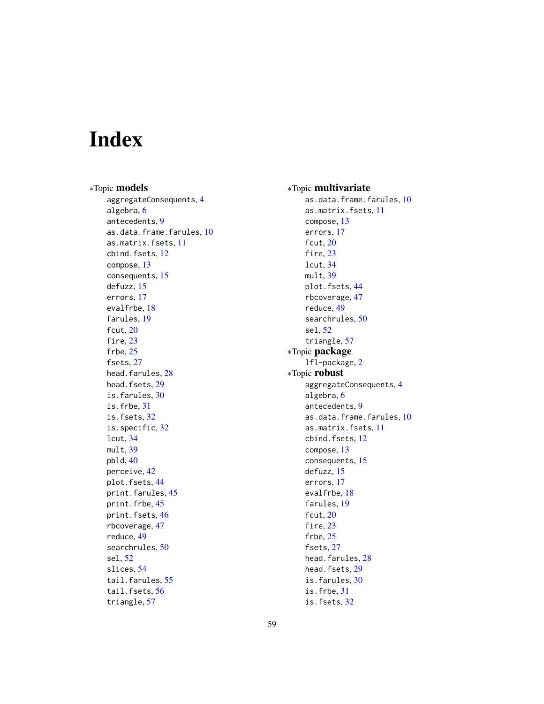# <span id="page-58-0"></span>Index

∗Topic models aggregateConsequents, [4](#page-3-0) algebra, [6](#page-5-0) antecedents, [9](#page-8-0) as.data.frame.farules, [10](#page-9-0) as.matrix.fsets, [11](#page-10-0) cbind.fsets, [12](#page-11-0) compose, [13](#page-12-0) consequents, [15](#page-14-0) defuzz, [15](#page-14-0) errors, [17](#page-16-0) evalfrbe, [18](#page-17-0) farules, [19](#page-18-0) fcut, [20](#page-19-0) fire, [23](#page-22-0) frbe, [25](#page-24-0) fsets, [27](#page-26-0) head.farules, [28](#page-27-0) head.fsets, [29](#page-28-0) is.farules, [30](#page-29-0) is.frbe, [31](#page-30-0) is.fsets, [32](#page-31-0) is.specific, [32](#page-31-0) lcut, [34](#page-33-0) mult, [39](#page-38-0) pbld, [40](#page-39-0) perceive, [42](#page-41-0) plot.fsets, [44](#page-43-0) print.farules, [45](#page-44-0) print.frbe, [45](#page-44-0) print.fsets, [46](#page-45-0) rbcoverage, [47](#page-46-0) reduce, [49](#page-48-0) searchrules, [50](#page-49-0) sel, [52](#page-51-0) slices, [54](#page-53-0) tail.farules, [55](#page-54-0) tail.fsets, [56](#page-55-0) triangle, [57](#page-56-0)

∗Topic multivariate as.data.frame.farules, [10](#page-9-0) as.matrix.fsets, [11](#page-10-0) compose, [13](#page-12-0) errors, [17](#page-16-0) fcut, [20](#page-19-0) fire, [23](#page-22-0) lcut, [34](#page-33-0) mult, [39](#page-38-0) plot.fsets, [44](#page-43-0) rbcoverage, [47](#page-46-0) reduce, [49](#page-48-0) searchrules, [50](#page-49-0) sel, [52](#page-51-0) triangle, [57](#page-56-0) ∗Topic package lfl-package, [2](#page-1-0) ∗Topic robust aggregateConsequents, [4](#page-3-0) algebra, [6](#page-5-0) antecedents, [9](#page-8-0) as.data.frame.farules, [10](#page-9-0) as.matrix.fsets, [11](#page-10-0) cbind.fsets, [12](#page-11-0) compose, [13](#page-12-0) consequents, [15](#page-14-0) defuzz, [15](#page-14-0) errors, [17](#page-16-0) evalfrbe, [18](#page-17-0) farules, [19](#page-18-0) fcut, [20](#page-19-0) fire, [23](#page-22-0) frbe, [25](#page-24-0) fsets, [27](#page-26-0) head.farules, [28](#page-27-0) head.fsets, [29](#page-28-0) is.farules, [30](#page-29-0) is.frbe, [31](#page-30-0) is.fsets, [32](#page-31-0)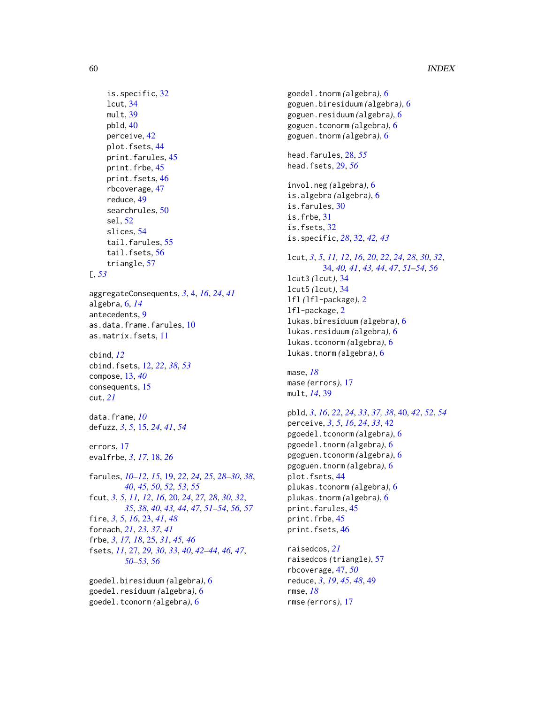# 60 INDEX

```
is.specific, 32
     lcut, 34
    mult, 39
    pbld, 40
     perceive, 42
     plot.fsets, 44
     print.farules, 45
     print.frbe, 45
     print.fsets, 46
     rbcoverage, 47
     reduce, 49
     searchrules, 50
     sel, 52
     slices, 54
     tail.farules, 55
     tail.fsets, 56
     triangle, 57
[, 53
aggregateConsequents, 3, 4, 16, 24, 41
algebra, 6, 14
antecedents, 9
as.data.frame.farules, 10
as.matrix.fsets, 11
cbind, 12
cbind.fsets, 12, 22, 38, 53
compose, 13, 40
consequents, 15
cut, 21
data.frame, 10
defuzz, 3, 5, 15, 24, 41, 54
errors, 17
evalfrbe, 3, 17, 18, 26
farules, 10–12, 15, 19, 22, 24, 25, 28–30, 38,
         40, 45, 50, 52, 53, 55
fcut, 3, 5, 11, 12, 16, 20, 24, 27, 28, 30, 32,
         35, 38, 40, 43, 44, 47, 51–54, 56, 57
fire, 3, 5, 16, 23, 41, 48
foreach, 21, 23, 37, 41
frbe, 3, 17, 18, 25, 31, 45, 46
fsets, 11, 27, 29, 30, 33, 40, 42–44, 46, 47,
         50–53, 56
```
goedel.biresiduum *(*algebra*)*, [6](#page-5-0) goedel.residuum *(*algebra*)*, [6](#page-5-0) goedel.tconorm *(*algebra*)*, [6](#page-5-0)

goedel.tnorm *(*algebra*)*, [6](#page-5-0) goguen.biresiduum *(*algebra*)*, [6](#page-5-0) goguen.residuum *(*algebra*)*, [6](#page-5-0) goguen.tconorm *(*algebra*)*, [6](#page-5-0) goguen.tnorm *(*algebra*)*, [6](#page-5-0) head.farules, [28,](#page-27-0) *[55](#page-54-0)* head.fsets, [29,](#page-28-0) *[56](#page-55-0)* invol.neg *(*algebra*)*, [6](#page-5-0) is.algebra *(*algebra*)*, [6](#page-5-0) is.farules, [30](#page-29-0) is.frbe, [31](#page-30-0) is.fsets, [32](#page-31-0) is.specific, *[28](#page-27-0)*, [32,](#page-31-0) *[42,](#page-41-0) [43](#page-42-0)* lcut, *[3](#page-2-0)*, *[5](#page-4-0)*, *[11,](#page-10-0) [12](#page-11-0)*, *[16](#page-15-0)*, *[20](#page-19-0)*, *[22](#page-21-0)*, *[24](#page-23-0)*, *[28](#page-27-0)*, *[30](#page-29-0)*, *[32](#page-31-0)*, [34,](#page-33-0) *[40,](#page-39-0) [41](#page-40-0)*, *[43,](#page-42-0) [44](#page-43-0)*, *[47](#page-46-0)*, *[51](#page-50-0)[–54](#page-53-0)*, *[56](#page-55-0)*

lcut3 *(*lcut*)*, [34](#page-33-0) lcut5 *(*lcut*)*, [34](#page-33-0) lfl *(*lfl-package*)*, [2](#page-1-0) lfl-package, [2](#page-1-0) lukas.biresiduum *(*algebra*)*, [6](#page-5-0) lukas.residuum *(*algebra*)*, [6](#page-5-0) lukas.tconorm *(*algebra*)*, [6](#page-5-0) lukas.tnorm *(*algebra*)*, [6](#page-5-0)

mase, *[18](#page-17-0)* mase *(*errors*)*, [17](#page-16-0) mult, *[14](#page-13-0)*, [39](#page-38-0)

```
pbld, 3, 16, 22, 24, 33, 37, 38, 40, 42, 52, 54
perceive, 3, 5, 16, 24, 33, 42
pgoedel.tconorm (algebra), 6
pgoedel.tnorm (algebra), 6
pgoguen.tconorm (algebra), 6
pgoguen.tnorm (algebra), 6
plot.fsets, 44
plukas.tconorm (algebra), 6
plukas.tnorm (algebra), 6
print.farules, 45
print.frbe, 45
print.fsets, 46
```
raisedcos, *[21](#page-20-0)* raisedcos *(*triangle*)*, [57](#page-56-0) rbcoverage, [47,](#page-46-0) *[50](#page-49-0)* reduce, *[3](#page-2-0)*, *[19](#page-18-0)*, *[45](#page-44-0)*, *[48](#page-47-0)*, [49](#page-48-0) rmse, *[18](#page-17-0)* rmse *(*errors*)*, [17](#page-16-0)